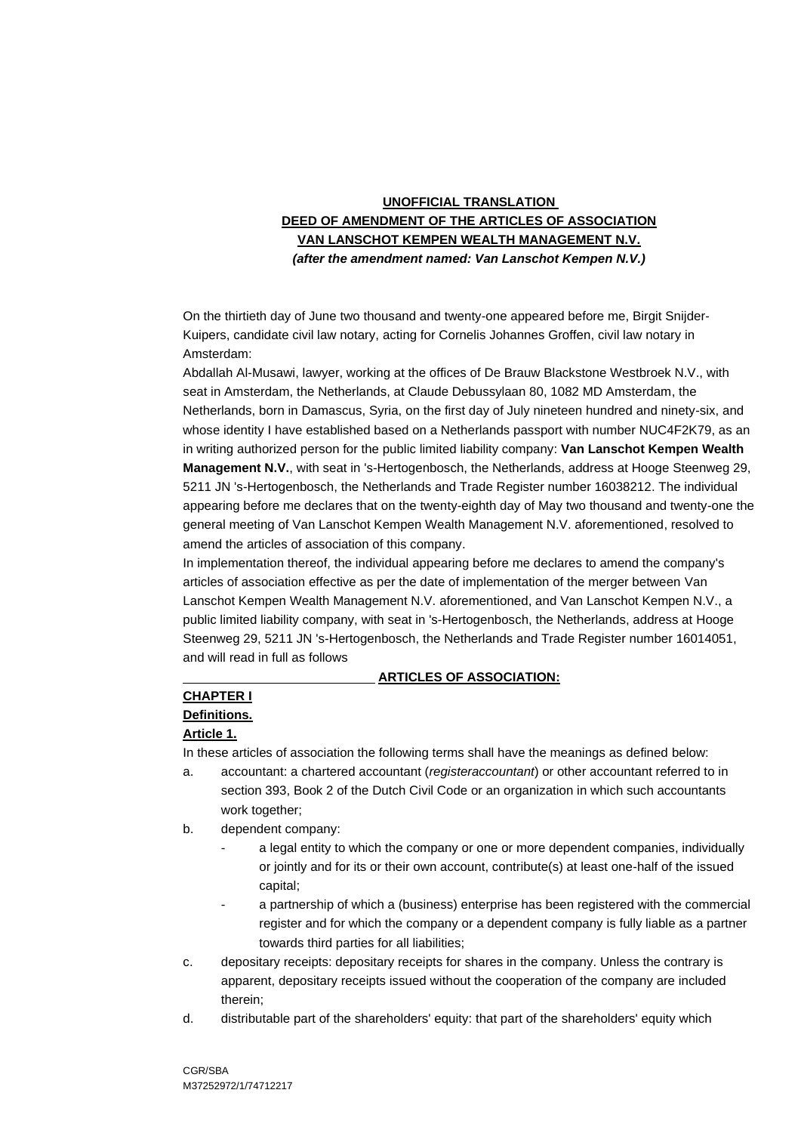## **UNOFFICIAL TRANSLATION DEED OF AMENDMENT OF THE ARTICLES OF ASSOCIATION VAN LANSCHOT KEMPEN WEALTH MANAGEMENT N.V.** *(after the amendment named: Van Lanschot Kempen N.V.)*

On the thirtieth day of June two thousand and twenty-one appeared before me, Birgit Snijder-Kuipers, candidate civil law notary, acting for Cornelis Johannes Groffen, civil law notary in Amsterdam:

Abdallah Al-Musawi, lawyer, working at the offices of De Brauw Blackstone Westbroek N.V., with seat in Amsterdam, the Netherlands, at Claude Debussylaan 80, 1082 MD Amsterdam, the Netherlands, born in Damascus, Syria, on the first day of July nineteen hundred and ninety-six, and whose identity I have established based on a Netherlands passport with number NUC4F2K79, as an in writing authorized person for the public limited liability company: **Van Lanschot Kempen Wealth Management N.V.**, with seat in 's-Hertogenbosch, the Netherlands, address at Hooge Steenweg 29, 5211 JN 's-Hertogenbosch, the Netherlands and Trade Register number 16038212. The individual appearing before me declares that on the twenty-eighth day of May two thousand and twenty-one the general meeting of Van Lanschot Kempen Wealth Management N.V. aforementioned, resolved to amend the articles of association of this company.

In implementation thereof, the individual appearing before me declares to amend the company's articles of association effective as per the date of implementation of the merger between Van Lanschot Kempen Wealth Management N.V. aforementioned, and Van Lanschot Kempen N.V., a public limited liability company, with seat in 's-Hertogenbosch, the Netherlands, address at Hooge Steenweg 29, 5211 JN 's-Hertogenbosch, the Netherlands and Trade Register number 16014051, and will read in full as follows

#### **ARTICLES OF ASSOCIATION:**

# **CHAPTER I**

## **Definitions.**

## **Article 1.**

In these articles of association the following terms shall have the meanings as defined below:

- a. accountant: a chartered accountant (*registeraccountant*) or other accountant referred to in section 393, Book 2 of the Dutch Civil Code or an organization in which such accountants work together;
- b. dependent company:
	- a legal entity to which the company or one or more dependent companies, individually or jointly and for its or their own account, contribute(s) at least one-half of the issued capital;
	- a partnership of which a (business) enterprise has been registered with the commercial register and for which the company or a dependent company is fully liable as a partner towards third parties for all liabilities;
- c. depositary receipts: depositary receipts for shares in the company. Unless the contrary is apparent, depositary receipts issued without the cooperation of the company are included therein;
- d. distributable part of the shareholders' equity: that part of the shareholders' equity which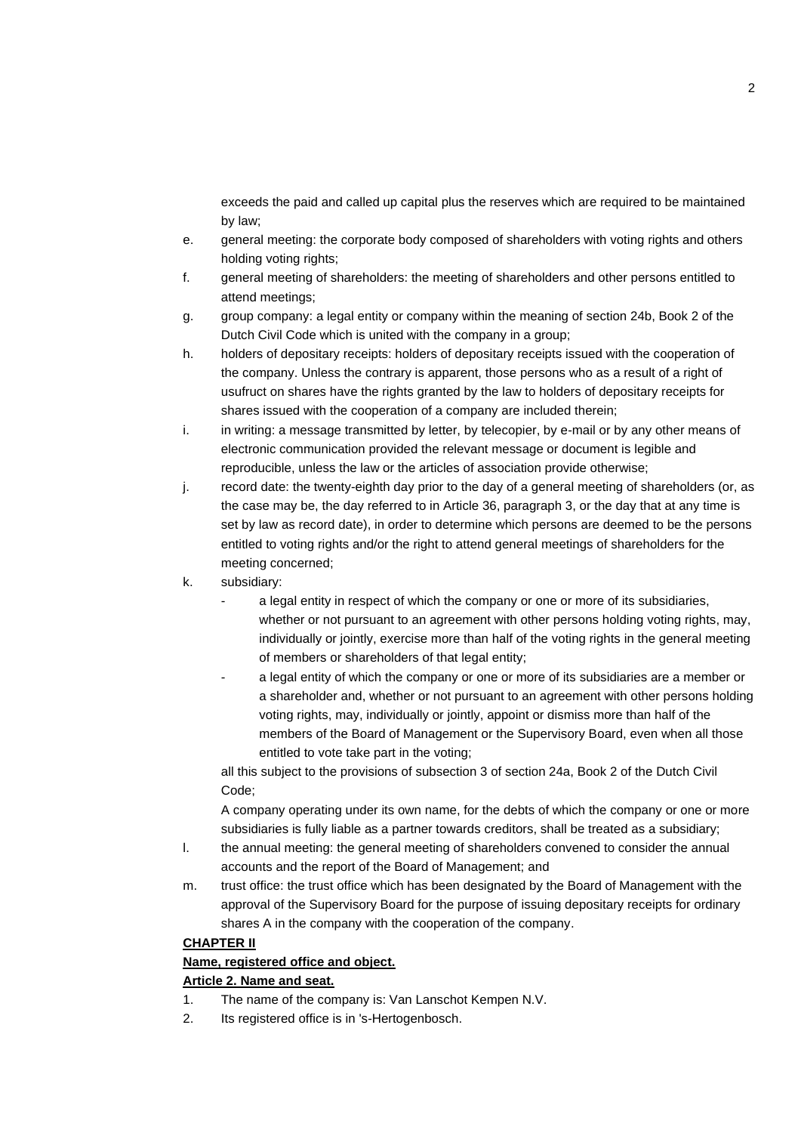exceeds the paid and called up capital plus the reserves which are required to be maintained by law;

- e. general meeting: the corporate body composed of shareholders with voting rights and others holding voting rights;
- f. general meeting of shareholders: the meeting of shareholders and other persons entitled to attend meetings;
- g. group company: a legal entity or company within the meaning of section 24b, Book 2 of the Dutch Civil Code which is united with the company in a group;
- h. holders of depositary receipts: holders of depositary receipts issued with the cooperation of the company. Unless the contrary is apparent, those persons who as a result of a right of usufruct on shares have the rights granted by the law to holders of depositary receipts for shares issued with the cooperation of a company are included therein;
- i. in writing: a message transmitted by letter, by telecopier, by e-mail or by any other means of electronic communication provided the relevant message or document is legible and reproducible, unless the law or the articles of association provide otherwise;
- j. record date: the twenty-eighth day prior to the day of a general meeting of shareholders (or, as the case may be, the day referred to in Article 36, paragraph 3, or the day that at any time is set by law as record date), in order to determine which persons are deemed to be the persons entitled to voting rights and/or the right to attend general meetings of shareholders for the meeting concerned;
- k. subsidiary:
	- a legal entity in respect of which the company or one or more of its subsidiaries, whether or not pursuant to an agreement with other persons holding voting rights, may, individually or jointly, exercise more than half of the voting rights in the general meeting of members or shareholders of that legal entity;
	- a legal entity of which the company or one or more of its subsidiaries are a member or a shareholder and, whether or not pursuant to an agreement with other persons holding voting rights, may, individually or jointly, appoint or dismiss more than half of the members of the Board of Management or the Supervisory Board, even when all those entitled to vote take part in the voting;

all this subject to the provisions of subsection 3 of section 24a, Book 2 of the Dutch Civil Code;

A company operating under its own name, for the debts of which the company or one or more subsidiaries is fully liable as a partner towards creditors, shall be treated as a subsidiary;

- l. the annual meeting: the general meeting of shareholders convened to consider the annual accounts and the report of the Board of Management; and
- m. trust office: the trust office which has been designated by the Board of Management with the approval of the Supervisory Board for the purpose of issuing depositary receipts for ordinary shares A in the company with the cooperation of the company.

#### **CHAPTER II**

## **Name, registered office and object.**

## **Article 2. Name and seat.**

- 1. The name of the company is: Van Lanschot Kempen N.V.
- 2. Its registered office is in 's-Hertogenbosch.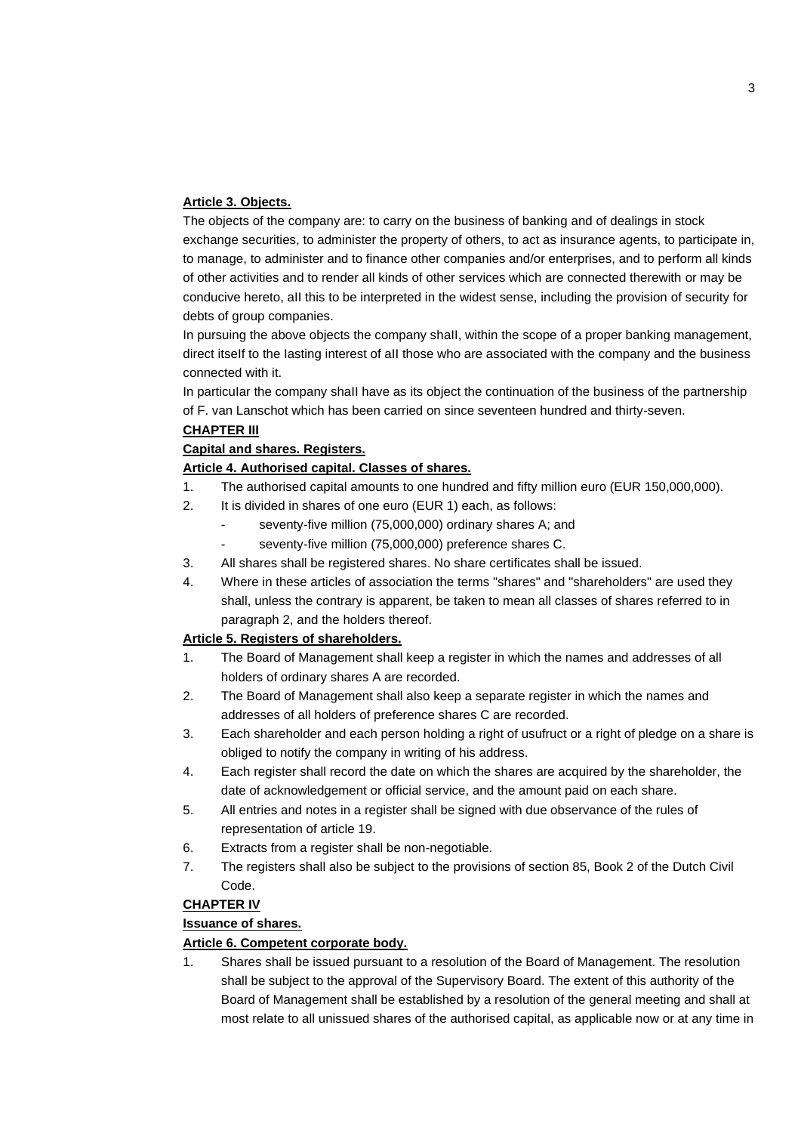#### **Article 3. Objects.**

The objects of the company are: to carry on the business of banking and of dealings in stock exchange securities, to administer the property of others, to act as insurance agents, to participate in, to manage, to administer and to finance other companies and/or enterprises, and to perform all kinds of other activities and to render all kinds of other services which are connected therewith or may be conducive hereto, aII this to be interpreted in the widest sense, including the provision of security for debts of group companies.

In pursuing the above objects the company shaII, within the scope of a proper banking management, direct itseIf to the Iasting interest of aII those who are associated with the company and the business connected with it.

In particular the company shall have as its object the continuation of the business of the partnership of F. van Lanschot which has been carried on since seventeen hundred and thirty-seven.

#### **CHAPTER III**

#### **Capital and shares. Registers.**

#### **Article 4. Authorised capital. Classes of shares.**

- 1. The authorised capital amounts to one hundred and fifty million euro (EUR 150,000,000).
- 2. It is divided in shares of one euro (EUR 1) each, as follows:
	- seventy-five million (75,000,000) ordinary shares A; and
		- seventy-five million (75,000,000) preference shares C.
- 3. All shares shall be registered shares. No share certificates shall be issued.
- 4. Where in these articles of association the terms "shares" and "shareholders" are used they shall, unless the contrary is apparent, be taken to mean all classes of shares referred to in paragraph 2, and the holders thereof.

#### **Article 5. Registers of shareholders.**

- 1. The Board of Management shall keep a register in which the names and addresses of all holders of ordinary shares A are recorded.
- 2. The Board of Management shall also keep a separate register in which the names and addresses of all holders of preference shares C are recorded.
- 3. Each shareholder and each person holding a right of usufruct or a right of pledge on a share is obliged to notify the company in writing of his address.
- 4. Each register shall record the date on which the shares are acquired by the shareholder, the date of acknowledgement or official service, and the amount paid on each share.
- 5. All entries and notes in a register shall be signed with due observance of the rules of representation of article 19.
- 6. Extracts from a register shall be non-negotiable.
- 7. The registers shall also be subject to the provisions of section 85, Book 2 of the Dutch Civil Code.

## **CHAPTER IV**

#### **Issuance of shares.**

#### **Article 6. Competent corporate body.**

1. Shares shall be issued pursuant to a resolution of the Board of Management. The resolution shall be subject to the approval of the Supervisory Board. The extent of this authority of the Board of Management shall be established by a resolution of the general meeting and shall at most relate to all unissued shares of the authorised capital, as applicable now or at any time in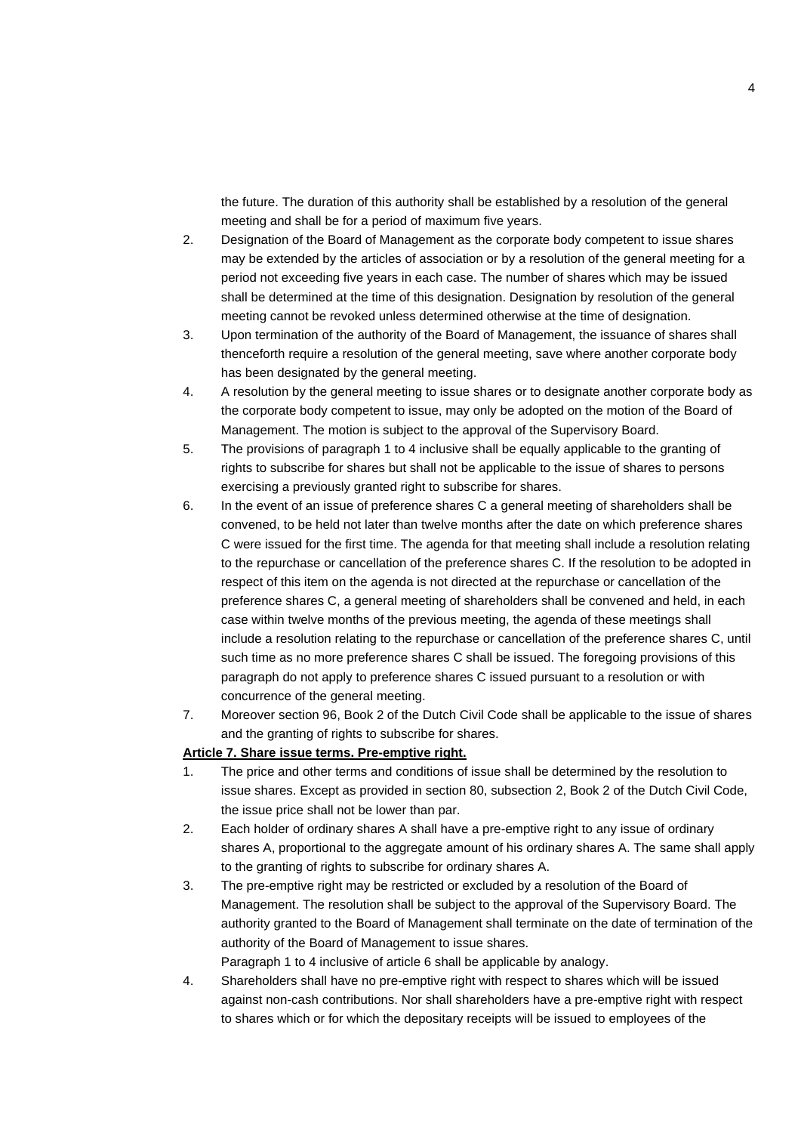the future. The duration of this authority shall be established by a resolution of the general meeting and shall be for a period of maximum five years.

- 2. Designation of the Board of Management as the corporate body competent to issue shares may be extended by the articles of association or by a resolution of the general meeting for a period not exceeding five years in each case. The number of shares which may be issued shall be determined at the time of this designation. Designation by resolution of the general meeting cannot be revoked unless determined otherwise at the time of designation.
- 3. Upon termination of the authority of the Board of Management, the issuance of shares shall thenceforth require a resolution of the general meeting, save where another corporate body has been designated by the general meeting.
- 4. A resolution by the general meeting to issue shares or to designate another corporate body as the corporate body competent to issue, may only be adopted on the motion of the Board of Management. The motion is subject to the approval of the Supervisory Board.
- 5. The provisions of paragraph 1 to 4 inclusive shall be equally applicable to the granting of rights to subscribe for shares but shall not be applicable to the issue of shares to persons exercising a previously granted right to subscribe for shares.
- 6. In the event of an issue of preference shares C a general meeting of shareholders shall be convened, to be held not later than twelve months after the date on which preference shares C were issued for the first time. The agenda for that meeting shall include a resolution relating to the repurchase or cancellation of the preference shares C. If the resolution to be adopted in respect of this item on the agenda is not directed at the repurchase or cancellation of the preference shares C, a general meeting of shareholders shall be convened and held, in each case within twelve months of the previous meeting, the agenda of these meetings shall include a resolution relating to the repurchase or cancellation of the preference shares C, until such time as no more preference shares C shall be issued. The foregoing provisions of this paragraph do not apply to preference shares C issued pursuant to a resolution or with concurrence of the general meeting.
- 7. Moreover section 96, Book 2 of the Dutch Civil Code shall be applicable to the issue of shares and the granting of rights to subscribe for shares.

#### **Article 7. Share issue terms. Pre-emptive right.**

- 1. The price and other terms and conditions of issue shall be determined by the resolution to issue shares. Except as provided in section 80, subsection 2, Book 2 of the Dutch Civil Code, the issue price shall not be lower than par.
- 2. Each holder of ordinary shares A shall have a pre-emptive right to any issue of ordinary shares A, proportional to the aggregate amount of his ordinary shares A. The same shall apply to the granting of rights to subscribe for ordinary shares A.
- 3. The pre-emptive right may be restricted or excluded by a resolution of the Board of Management. The resolution shall be subject to the approval of the Supervisory Board. The authority granted to the Board of Management shall terminate on the date of termination of the authority of the Board of Management to issue shares.

Paragraph 1 to 4 inclusive of article 6 shall be applicable by analogy.

4. Shareholders shall have no pre-emptive right with respect to shares which will be issued against non-cash contributions. Nor shall shareholders have a pre-emptive right with respect to shares which or for which the depositary receipts will be issued to employees of the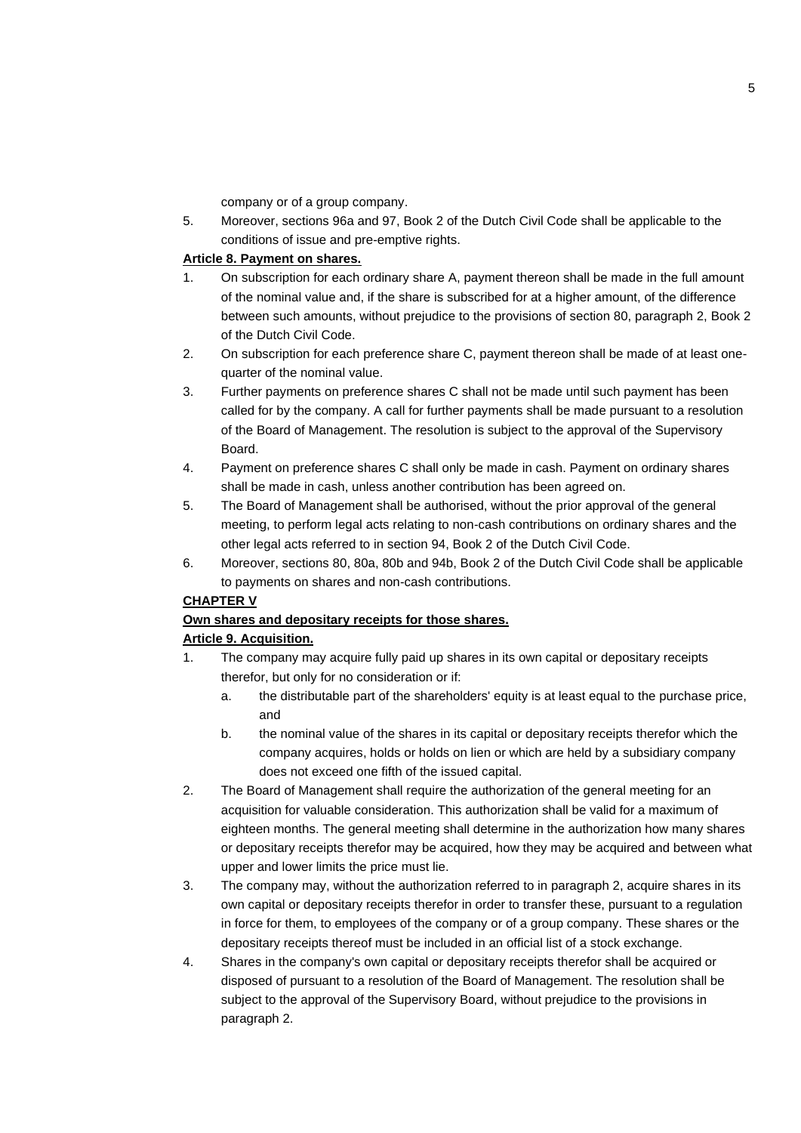company or of a group company.

5. Moreover, sections 96a and 97, Book 2 of the Dutch Civil Code shall be applicable to the conditions of issue and pre-emptive rights.

## **Article 8. Payment on shares.**

- 1. On subscription for each ordinary share A, payment thereon shall be made in the full amount of the nominal value and, if the share is subscribed for at a higher amount, of the difference between such amounts, without prejudice to the provisions of section 80, paragraph 2, Book 2 of the Dutch Civil Code.
- 2. On subscription for each preference share C, payment thereon shall be made of at least onequarter of the nominal value.
- 3. Further payments on preference shares C shall not be made until such payment has been called for by the company. A call for further payments shall be made pursuant to a resolution of the Board of Management. The resolution is subject to the approval of the Supervisory Board.
- 4. Payment on preference shares C shall only be made in cash. Payment on ordinary shares shall be made in cash, unless another contribution has been agreed on.
- 5. The Board of Management shall be authorised, without the prior approval of the general meeting, to perform legal acts relating to non-cash contributions on ordinary shares and the other legal acts referred to in section 94, Book 2 of the Dutch Civil Code.
- 6. Moreover, sections 80, 80a, 80b and 94b, Book 2 of the Dutch Civil Code shall be applicable to payments on shares and non-cash contributions.

## **CHAPTER V**

## **Own shares and depositary receipts for those shares.**

## **Article 9. Acquisition.**

- 1. The company may acquire fully paid up shares in its own capital or depositary receipts therefor, but only for no consideration or if:
	- a. the distributable part of the shareholders' equity is at least equal to the purchase price, and
	- b. the nominal value of the shares in its capital or depositary receipts therefor which the company acquires, holds or holds on lien or which are held by a subsidiary company does not exceed one fifth of the issued capital.
- 2. The Board of Management shall require the authorization of the general meeting for an acquisition for valuable consideration. This authorization shall be valid for a maximum of eighteen months. The general meeting shall determine in the authorization how many shares or depositary receipts therefor may be acquired, how they may be acquired and between what upper and lower limits the price must lie.
- 3. The company may, without the authorization referred to in paragraph 2, acquire shares in its own capital or depositary receipts therefor in order to transfer these, pursuant to a regulation in force for them, to employees of the company or of a group company. These shares or the depositary receipts thereof must be included in an official list of a stock exchange.
- 4. Shares in the company's own capital or depositary receipts therefor shall be acquired or disposed of pursuant to a resolution of the Board of Management. The resolution shall be subject to the approval of the Supervisory Board, without prejudice to the provisions in paragraph 2.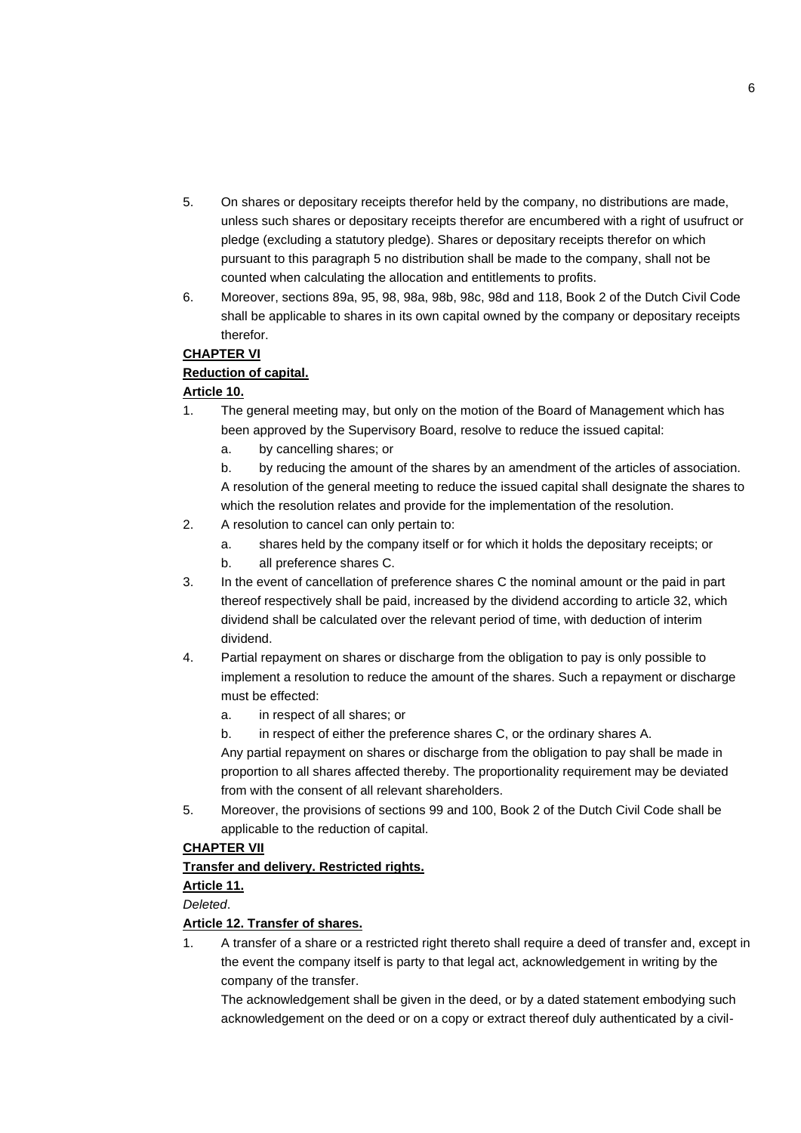- 5. On shares or depositary receipts therefor held by the company, no distributions are made, unless such shares or depositary receipts therefor are encumbered with a right of usufruct or pledge (excluding a statutory pledge). Shares or depositary receipts therefor on which pursuant to this paragraph 5 no distribution shall be made to the company, shall not be counted when calculating the allocation and entitlements to profits.
- 6. Moreover, sections 89a, 95, 98, 98a, 98b, 98c, 98d and 118, Book 2 of the Dutch Civil Code shall be applicable to shares in its own capital owned by the company or depositary receipts therefor.

## **CHAPTER VI**

## **Reduction of capital.**

## **Article 10.**

- 1. The general meeting may, but only on the motion of the Board of Management which has been approved by the Supervisory Board, resolve to reduce the issued capital:
	- a. by cancelling shares; or

b. by reducing the amount of the shares by an amendment of the articles of association. A resolution of the general meeting to reduce the issued capital shall designate the shares to which the resolution relates and provide for the implementation of the resolution.

- 2. A resolution to cancel can only pertain to:
	- a. shares held by the company itself or for which it holds the depositary receipts; or
	- b. all preference shares C.
- 3. In the event of cancellation of preference shares C the nominal amount or the paid in part thereof respectively shall be paid, increased by the dividend according to article 32, which dividend shall be calculated over the relevant period of time, with deduction of interim dividend.
- 4. Partial repayment on shares or discharge from the obligation to pay is only possible to implement a resolution to reduce the amount of the shares. Such a repayment or discharge must be effected:
	- a. in respect of all shares; or
	- b. in respect of either the preference shares C, or the ordinary shares A.

Any partial repayment on shares or discharge from the obligation to pay shall be made in proportion to all shares affected thereby. The proportionality requirement may be deviated from with the consent of all relevant shareholders.

5. Moreover, the provisions of sections 99 and 100, Book 2 of the Dutch Civil Code shall be applicable to the reduction of capital.

## **CHAPTER VII**

## **Transfer and delivery. Restricted rights.**

#### **Article 11.**

*Deleted*.

## **Article 12. Transfer of shares.**

1. A transfer of a share or a restricted right thereto shall require a deed of transfer and, except in the event the company itself is party to that legal act, acknowledgement in writing by the company of the transfer.

The acknowledgement shall be given in the deed, or by a dated statement embodying such acknowledgement on the deed or on a copy or extract thereof duly authenticated by a civil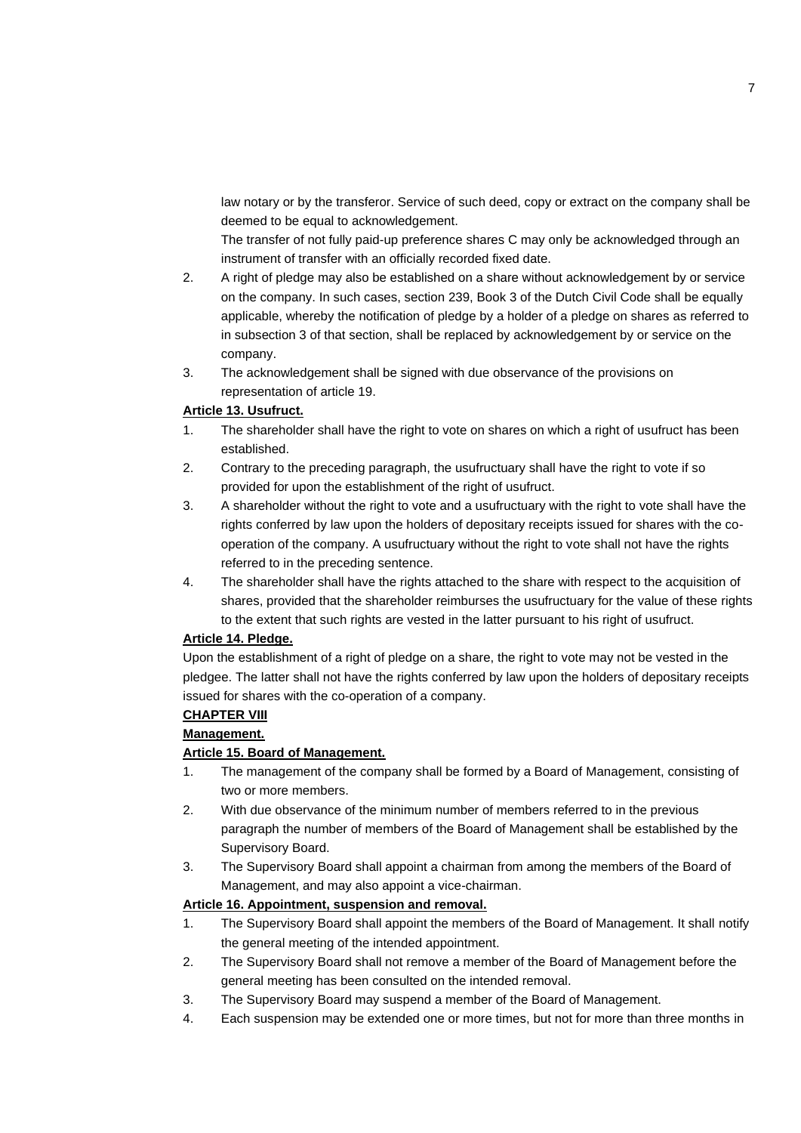law notary or by the transferor. Service of such deed, copy or extract on the company shall be deemed to be equal to acknowledgement.

The transfer of not fully paid-up preference shares C may only be acknowledged through an instrument of transfer with an officially recorded fixed date.

- 2. A right of pledge may also be established on a share without acknowledgement by or service on the company. In such cases, section 239, Book 3 of the Dutch Civil Code shall be equally applicable, whereby the notification of pledge by a holder of a pledge on shares as referred to in subsection 3 of that section, shall be replaced by acknowledgement by or service on the company.
- 3. The acknowledgement shall be signed with due observance of the provisions on representation of article 19.

#### **Article 13. Usufruct.**

- 1. The shareholder shall have the right to vote on shares on which a right of usufruct has been established.
- 2. Contrary to the preceding paragraph, the usufructuary shall have the right to vote if so provided for upon the establishment of the right of usufruct.
- 3. A shareholder without the right to vote and a usufructuary with the right to vote shall have the rights conferred by law upon the holders of depositary receipts issued for shares with the cooperation of the company. A usufructuary without the right to vote shall not have the rights referred to in the preceding sentence.
- 4. The shareholder shall have the rights attached to the share with respect to the acquisition of shares, provided that the shareholder reimburses the usufructuary for the value of these rights to the extent that such rights are vested in the latter pursuant to his right of usufruct.

## **Article 14. Pledge.**

Upon the establishment of a right of pledge on a share, the right to vote may not be vested in the pledgee. The latter shall not have the rights conferred by law upon the holders of depositary receipts issued for shares with the co-operation of a company.

#### **CHAPTER VIII**

#### **Management.**

#### **Article 15. Board of Management.**

- 1. The management of the company shall be formed by a Board of Management, consisting of two or more members.
- 2. With due observance of the minimum number of members referred to in the previous paragraph the number of members of the Board of Management shall be established by the Supervisory Board.
- 3. The Supervisory Board shall appoint a chairman from among the members of the Board of Management, and may also appoint a vice-chairman.

## **Article 16. Appointment, suspension and removal.**

- 1. The Supervisory Board shall appoint the members of the Board of Management. It shall notify the general meeting of the intended appointment.
- 2. The Supervisory Board shall not remove a member of the Board of Management before the general meeting has been consulted on the intended removal.
- 3. The Supervisory Board may suspend a member of the Board of Management.
- 4. Each suspension may be extended one or more times, but not for more than three months in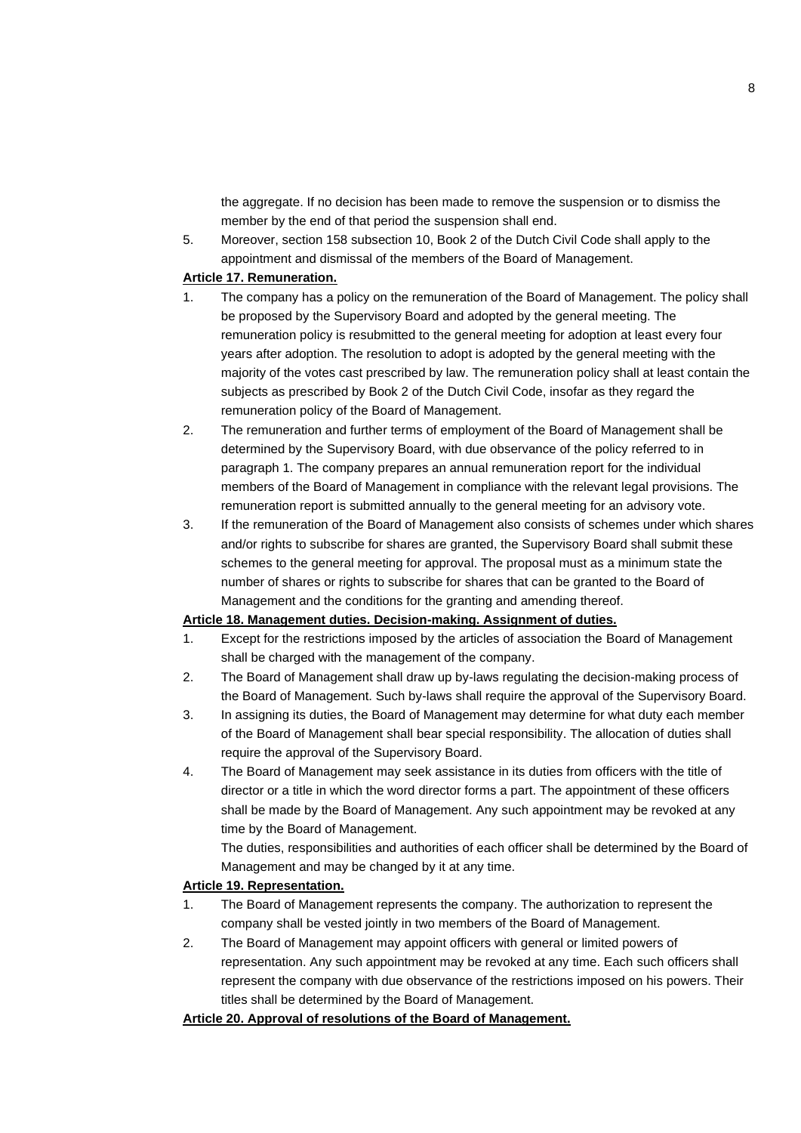the aggregate. If no decision has been made to remove the suspension or to dismiss the member by the end of that period the suspension shall end.

5. Moreover, section 158 subsection 10, Book 2 of the Dutch Civil Code shall apply to the appointment and dismissal of the members of the Board of Management.

#### **Article 17. Remuneration.**

- 1. The company has a policy on the remuneration of the Board of Management. The policy shall be proposed by the Supervisory Board and adopted by the general meeting. The remuneration policy is resubmitted to the general meeting for adoption at least every four years after adoption. The resolution to adopt is adopted by the general meeting with the majority of the votes cast prescribed by law. The remuneration policy shall at least contain the subjects as prescribed by Book 2 of the Dutch Civil Code, insofar as they regard the remuneration policy of the Board of Management.
- 2. The remuneration and further terms of employment of the Board of Management shall be determined by the Supervisory Board, with due observance of the policy referred to in paragraph 1. The company prepares an annual remuneration report for the individual members of the Board of Management in compliance with the relevant legal provisions. The remuneration report is submitted annually to the general meeting for an advisory vote.
- 3. If the remuneration of the Board of Management also consists of schemes under which shares and/or rights to subscribe for shares are granted, the Supervisory Board shall submit these schemes to the general meeting for approval. The proposal must as a minimum state the number of shares or rights to subscribe for shares that can be granted to the Board of Management and the conditions for the granting and amending thereof.

## **Article 18. Management duties. Decision-making. Assignment of duties.**

- 1. Except for the restrictions imposed by the articles of association the Board of Management shall be charged with the management of the company.
- 2. The Board of Management shall draw up by-laws regulating the decision-making process of the Board of Management. Such by-laws shall require the approval of the Supervisory Board.
- 3. In assigning its duties, the Board of Management may determine for what duty each member of the Board of Management shall bear special responsibility. The allocation of duties shall require the approval of the Supervisory Board.
- 4. The Board of Management may seek assistance in its duties from officers with the title of director or a title in which the word director forms a part. The appointment of these officers shall be made by the Board of Management. Any such appointment may be revoked at any time by the Board of Management.

The duties, responsibilities and authorities of each officer shall be determined by the Board of Management and may be changed by it at any time.

#### **Article 19. Representation.**

- 1. The Board of Management represents the company. The authorization to represent the company shall be vested jointly in two members of the Board of Management.
- 2. The Board of Management may appoint officers with general or limited powers of representation. Any such appointment may be revoked at any time. Each such officers shall represent the company with due observance of the restrictions imposed on his powers. Their titles shall be determined by the Board of Management.

## **Article 20. Approval of resolutions of the Board of Management.**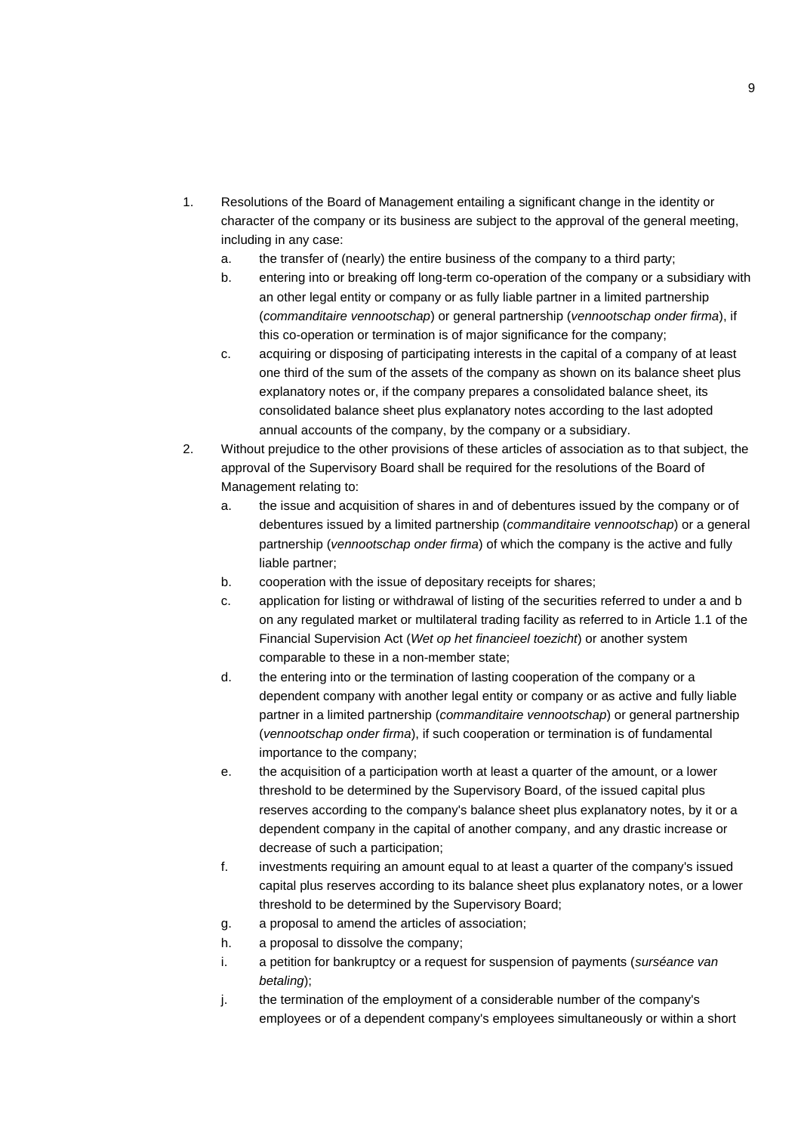- 1. Resolutions of the Board of Management entailing a significant change in the identity or character of the company or its business are subject to the approval of the general meeting, including in any case:
	- a. the transfer of (nearly) the entire business of the company to a third party;
	- b. entering into or breaking off long-term co-operation of the company or a subsidiary with an other legal entity or company or as fully liable partner in a limited partnership (*commanditaire vennootschap*) or general partnership (*vennootschap onder firma*), if this co-operation or termination is of major significance for the company;
	- c. acquiring or disposing of participating interests in the capital of a company of at least one third of the sum of the assets of the company as shown on its balance sheet plus explanatory notes or, if the company prepares a consolidated balance sheet, its consolidated balance sheet plus explanatory notes according to the last adopted annual accounts of the company, by the company or a subsidiary.
- 2. Without prejudice to the other provisions of these articles of association as to that subject, the approval of the Supervisory Board shall be required for the resolutions of the Board of Management relating to:
	- a. the issue and acquisition of shares in and of debentures issued by the company or of debentures issued by a limited partnership (*commanditaire vennootschap*) or a general partnership (*vennootschap onder firma*) of which the company is the active and fully liable partner;
	- b. cooperation with the issue of depositary receipts for shares;
	- c. application for listing or withdrawal of listing of the securities referred to under a and b on any regulated market or multilateral trading facility as referred to in Article 1.1 of the Financial Supervision Act (*Wet op het financieel toezicht*) or another system comparable to these in a non-member state;
	- d. the entering into or the termination of lasting cooperation of the company or a dependent company with another legal entity or company or as active and fully liable partner in a limited partnership (*commanditaire vennootschap*) or general partnership (*vennootschap onder firma*), if such cooperation or termination is of fundamental importance to the company;
	- e. the acquisition of a participation worth at least a quarter of the amount, or a lower threshold to be determined by the Supervisory Board, of the issued capital plus reserves according to the company's balance sheet plus explanatory notes, by it or a dependent company in the capital of another company, and any drastic increase or decrease of such a participation;
	- f. investments requiring an amount equal to at least a quarter of the company's issued capital plus reserves according to its balance sheet plus explanatory notes, or a lower threshold to be determined by the Supervisory Board;
	- g. a proposal to amend the articles of association;
	- h. a proposal to dissolve the company;
	- i. a petition for bankruptcy or a request for suspension of payments (*surséance van betaling*);
	- j. the termination of the employment of a considerable number of the company's employees or of a dependent company's employees simultaneously or within a short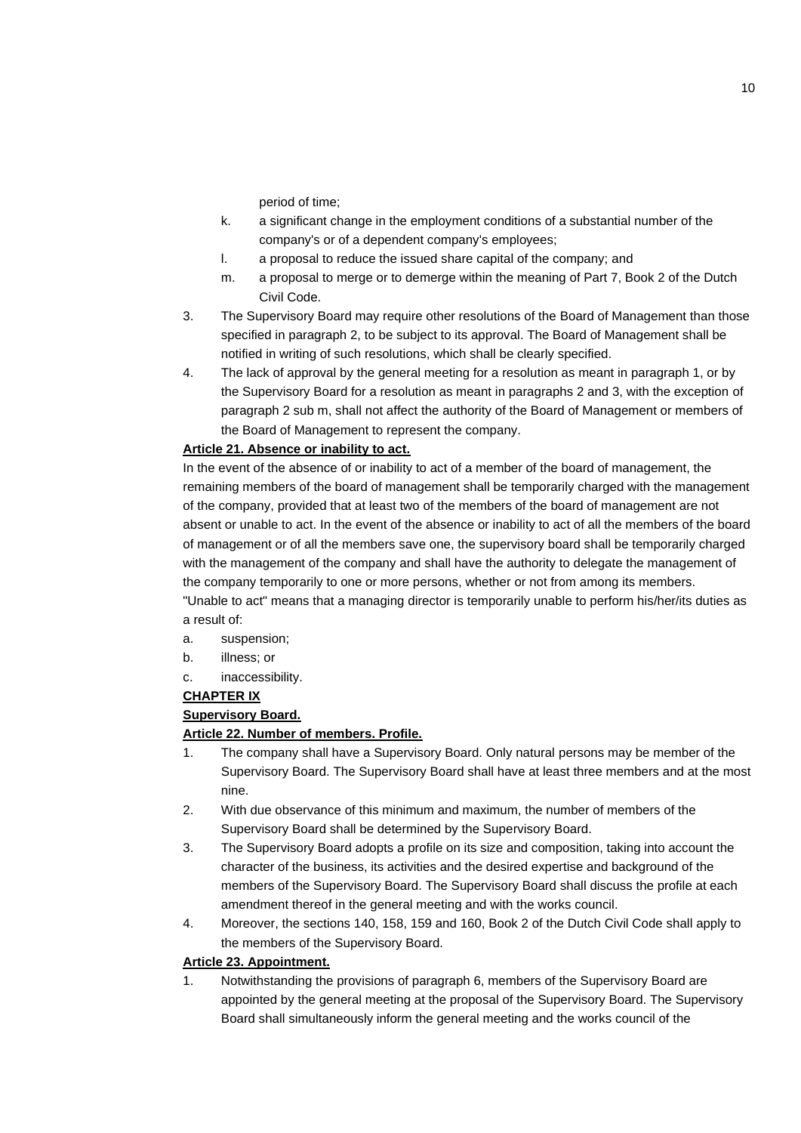period of time;

- k. a significant change in the employment conditions of a substantial number of the company's or of a dependent company's employees;
- l. a proposal to reduce the issued share capital of the company; and
- m. a proposal to merge or to demerge within the meaning of Part 7, Book 2 of the Dutch Civil Code.
- 3. The Supervisory Board may require other resolutions of the Board of Management than those specified in paragraph 2, to be subject to its approval. The Board of Management shall be notified in writing of such resolutions, which shall be clearly specified.
- 4. The lack of approval by the general meeting for a resolution as meant in paragraph 1, or by the Supervisory Board for a resolution as meant in paragraphs 2 and 3, with the exception of paragraph 2 sub m, shall not affect the authority of the Board of Management or members of the Board of Management to represent the company.

#### **Article 21. Absence or inability to act.**

In the event of the absence of or inability to act of a member of the board of management, the remaining members of the board of management shall be temporarily charged with the management of the company, provided that at least two of the members of the board of management are not absent or unable to act. In the event of the absence or inability to act of all the members of the board of management or of all the members save one, the supervisory board shall be temporarily charged with the management of the company and shall have the authority to delegate the management of the company temporarily to one or more persons, whether or not from among its members. "Unable to act" means that a managing director is temporarily unable to perform his/her/its duties as

a result of:

- a. suspension;
- b. illness; or
- c. inaccessibility.

## **CHAPTER IX**

## **Supervisory Board.**

## **Article 22. Number of members. Profile.**

- 1. The company shall have a Supervisory Board. Only natural persons may be member of the Supervisory Board. The Supervisory Board shall have at least three members and at the most nine.
- 2. With due observance of this minimum and maximum, the number of members of the Supervisory Board shall be determined by the Supervisory Board.
- 3. The Supervisory Board adopts a profile on its size and composition, taking into account the character of the business, its activities and the desired expertise and background of the members of the Supervisory Board. The Supervisory Board shall discuss the profile at each amendment thereof in the general meeting and with the works council.
- 4. Moreover, the sections 140, 158, 159 and 160, Book 2 of the Dutch Civil Code shall apply to the members of the Supervisory Board.

#### **Article 23. Appointment.**

1. Notwithstanding the provisions of paragraph 6, members of the Supervisory Board are appointed by the general meeting at the proposal of the Supervisory Board. The Supervisory Board shall simultaneously inform the general meeting and the works council of the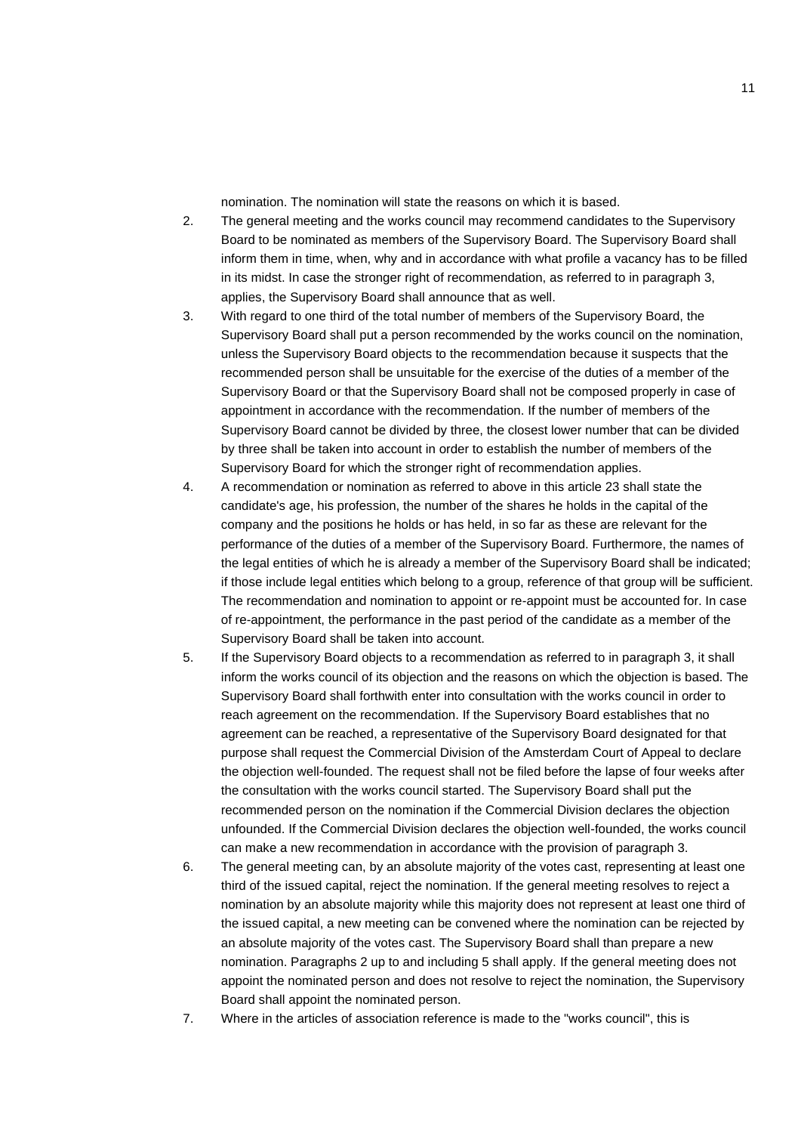nomination. The nomination will state the reasons on which it is based.

- 2. The general meeting and the works council may recommend candidates to the Supervisory Board to be nominated as members of the Supervisory Board. The Supervisory Board shall inform them in time, when, why and in accordance with what profile a vacancy has to be filled in its midst. In case the stronger right of recommendation, as referred to in paragraph 3, applies, the Supervisory Board shall announce that as well.
- 3. With regard to one third of the total number of members of the Supervisory Board, the Supervisory Board shall put a person recommended by the works council on the nomination, unless the Supervisory Board objects to the recommendation because it suspects that the recommended person shall be unsuitable for the exercise of the duties of a member of the Supervisory Board or that the Supervisory Board shall not be composed properly in case of appointment in accordance with the recommendation. If the number of members of the Supervisory Board cannot be divided by three, the closest lower number that can be divided by three shall be taken into account in order to establish the number of members of the Supervisory Board for which the stronger right of recommendation applies.
- 4. A recommendation or nomination as referred to above in this article 23 shall state the candidate's age, his profession, the number of the shares he holds in the capital of the company and the positions he holds or has held, in so far as these are relevant for the performance of the duties of a member of the Supervisory Board. Furthermore, the names of the legal entities of which he is already a member of the Supervisory Board shall be indicated; if those include legal entities which belong to a group, reference of that group will be sufficient. The recommendation and nomination to appoint or re-appoint must be accounted for. In case of re-appointment, the performance in the past period of the candidate as a member of the Supervisory Board shall be taken into account.
- 5. If the Supervisory Board objects to a recommendation as referred to in paragraph 3, it shall inform the works council of its objection and the reasons on which the objection is based. The Supervisory Board shall forthwith enter into consultation with the works council in order to reach agreement on the recommendation. If the Supervisory Board establishes that no agreement can be reached, a representative of the Supervisory Board designated for that purpose shall request the Commercial Division of the Amsterdam Court of Appeal to declare the objection well-founded. The request shall not be filed before the lapse of four weeks after the consultation with the works council started. The Supervisory Board shall put the recommended person on the nomination if the Commercial Division declares the objection unfounded. If the Commercial Division declares the objection well-founded, the works council can make a new recommendation in accordance with the provision of paragraph 3.
- 6. The general meeting can, by an absolute majority of the votes cast, representing at least one third of the issued capital, reject the nomination. If the general meeting resolves to reject a nomination by an absolute majority while this majority does not represent at least one third of the issued capital, a new meeting can be convened where the nomination can be rejected by an absolute majority of the votes cast. The Supervisory Board shall than prepare a new nomination. Paragraphs 2 up to and including 5 shall apply. If the general meeting does not appoint the nominated person and does not resolve to reject the nomination, the Supervisory Board shall appoint the nominated person.
- 7. Where in the articles of association reference is made to the "works council", this is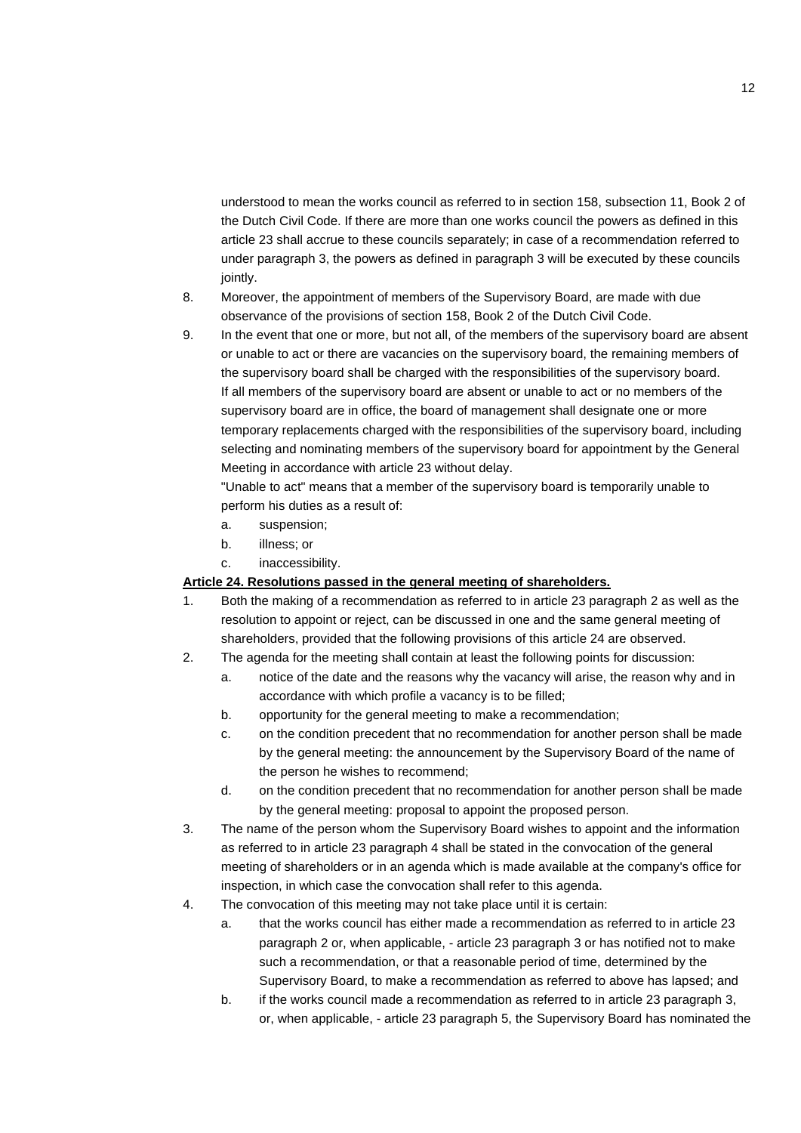understood to mean the works council as referred to in section 158, subsection 11, Book 2 of the Dutch Civil Code. If there are more than one works council the powers as defined in this article 23 shall accrue to these councils separately; in case of a recommendation referred to under paragraph 3, the powers as defined in paragraph 3 will be executed by these councils jointly.

- 8. Moreover, the appointment of members of the Supervisory Board, are made with due observance of the provisions of section 158, Book 2 of the Dutch Civil Code.
- 9. In the event that one or more, but not all, of the members of the supervisory board are absent or unable to act or there are vacancies on the supervisory board, the remaining members of the supervisory board shall be charged with the responsibilities of the supervisory board. If all members of the supervisory board are absent or unable to act or no members of the supervisory board are in office, the board of management shall designate one or more temporary replacements charged with the responsibilities of the supervisory board, including selecting and nominating members of the supervisory board for appointment by the General Meeting in accordance with article 23 without delay.

"Unable to act" means that a member of the supervisory board is temporarily unable to perform his duties as a result of:

- a. suspension;
- b. illness; or
- c. inaccessibility.

#### **Article 24. Resolutions passed in the general meeting of shareholders.**

- 1. Both the making of a recommendation as referred to in article 23 paragraph 2 as well as the resolution to appoint or reject, can be discussed in one and the same general meeting of shareholders, provided that the following provisions of this article 24 are observed.
- 2. The agenda for the meeting shall contain at least the following points for discussion:
	- a. notice of the date and the reasons why the vacancy will arise, the reason why and in accordance with which profile a vacancy is to be filled;
	- b. opportunity for the general meeting to make a recommendation;
	- c. on the condition precedent that no recommendation for another person shall be made by the general meeting: the announcement by the Supervisory Board of the name of the person he wishes to recommend;
	- d. on the condition precedent that no recommendation for another person shall be made by the general meeting: proposal to appoint the proposed person.
- 3. The name of the person whom the Supervisory Board wishes to appoint and the information as referred to in article 23 paragraph 4 shall be stated in the convocation of the general meeting of shareholders or in an agenda which is made available at the company's office for inspection, in which case the convocation shall refer to this agenda.
- 4. The convocation of this meeting may not take place until it is certain:
	- a. that the works council has either made a recommendation as referred to in article 23 paragraph 2 or, when applicable, - article 23 paragraph 3 or has notified not to make such a recommendation, or that a reasonable period of time, determined by the Supervisory Board, to make a recommendation as referred to above has lapsed; and
	- b. if the works council made a recommendation as referred to in article 23 paragraph 3, or, when applicable, - article 23 paragraph 5, the Supervisory Board has nominated the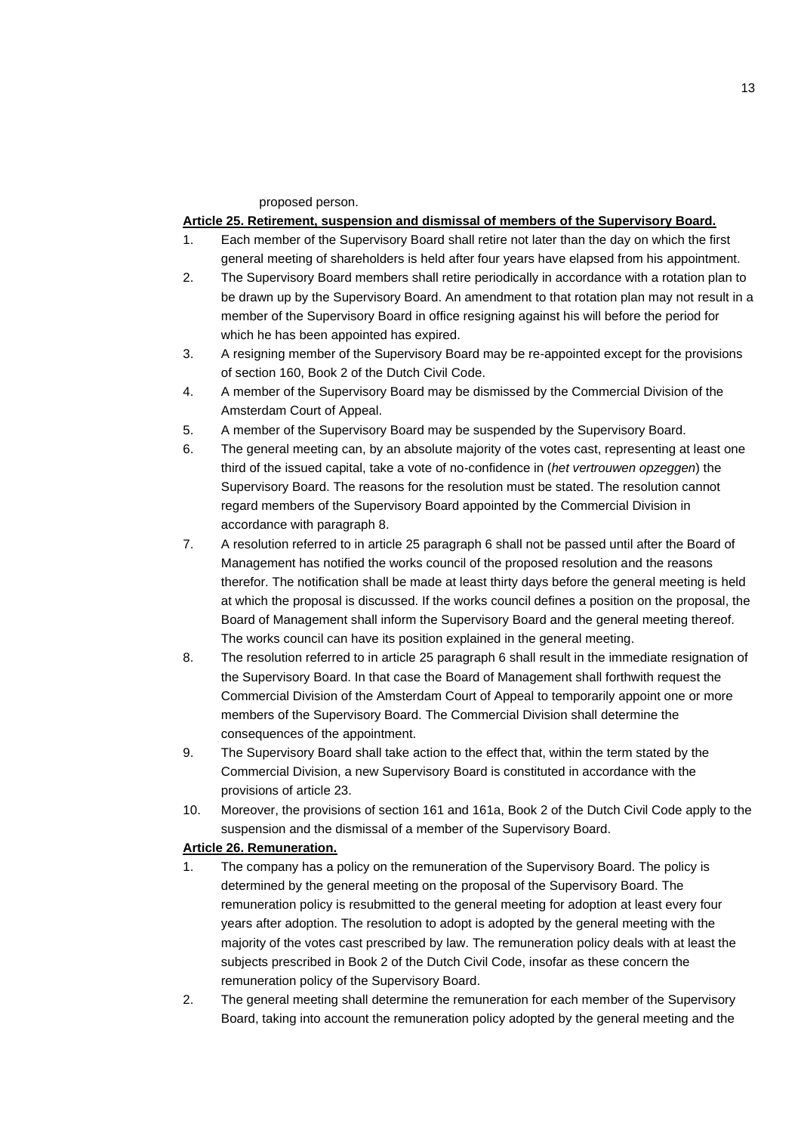proposed person.

#### **Article 25. Retirement, suspension and dismissal of members of the Supervisory Board.**

- 1. Each member of the Supervisory Board shall retire not later than the day on which the first general meeting of shareholders is held after four years have elapsed from his appointment.
- 2. The Supervisory Board members shall retire periodically in accordance with a rotation plan to be drawn up by the Supervisory Board. An amendment to that rotation plan may not result in a member of the Supervisory Board in office resigning against his will before the period for which he has been appointed has expired.
- 3. A resigning member of the Supervisory Board may be re-appointed except for the provisions of section 160, Book 2 of the Dutch Civil Code.
- 4. A member of the Supervisory Board may be dismissed by the Commercial Division of the Amsterdam Court of Appeal.
- 5. A member of the Supervisory Board may be suspended by the Supervisory Board.
- 6. The general meeting can, by an absolute majority of the votes cast, representing at least one third of the issued capital, take a vote of no-confidence in (*het vertrouwen opzeggen*) the Supervisory Board. The reasons for the resolution must be stated. The resolution cannot regard members of the Supervisory Board appointed by the Commercial Division in accordance with paragraph 8.
- 7. A resolution referred to in article 25 paragraph 6 shall not be passed until after the Board of Management has notified the works council of the proposed resolution and the reasons therefor. The notification shall be made at least thirty days before the general meeting is held at which the proposal is discussed. If the works council defines a position on the proposal, the Board of Management shall inform the Supervisory Board and the general meeting thereof. The works council can have its position explained in the general meeting.
- 8. The resolution referred to in article 25 paragraph 6 shall result in the immediate resignation of the Supervisory Board. In that case the Board of Management shall forthwith request the Commercial Division of the Amsterdam Court of Appeal to temporarily appoint one or more members of the Supervisory Board. The Commercial Division shall determine the consequences of the appointment.
- 9. The Supervisory Board shall take action to the effect that, within the term stated by the Commercial Division, a new Supervisory Board is constituted in accordance with the provisions of article 23.
- 10. Moreover, the provisions of section 161 and 161a, Book 2 of the Dutch Civil Code apply to the suspension and the dismissal of a member of the Supervisory Board.

## **Article 26. Remuneration.**

- 1. The company has a policy on the remuneration of the Supervisory Board. The policy is determined by the general meeting on the proposal of the Supervisory Board. The remuneration policy is resubmitted to the general meeting for adoption at least every four years after adoption. The resolution to adopt is adopted by the general meeting with the majority of the votes cast prescribed by law. The remuneration policy deals with at least the subjects prescribed in Book 2 of the Dutch Civil Code, insofar as these concern the remuneration policy of the Supervisory Board.
- 2. The general meeting shall determine the remuneration for each member of the Supervisory Board, taking into account the remuneration policy adopted by the general meeting and the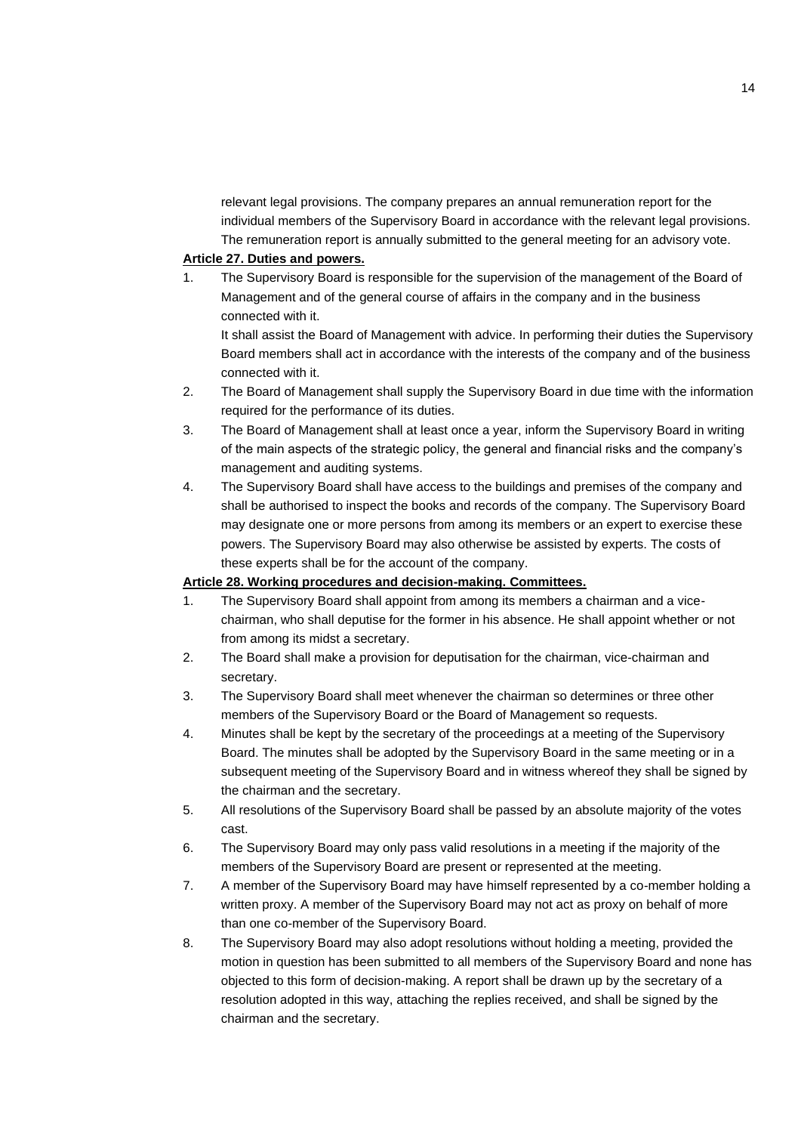relevant legal provisions. The company prepares an annual remuneration report for the individual members of the Supervisory Board in accordance with the relevant legal provisions. The remuneration report is annually submitted to the general meeting for an advisory vote.

#### **Article 27. Duties and powers.**

1. The Supervisory Board is responsible for the supervision of the management of the Board of Management and of the general course of affairs in the company and in the business connected with it.

It shall assist the Board of Management with advice. In performing their duties the Supervisory Board members shall act in accordance with the interests of the company and of the business connected with it.

- 2. The Board of Management shall supply the Supervisory Board in due time with the information required for the performance of its duties.
- 3. The Board of Management shall at least once a year, inform the Supervisory Board in writing of the main aspects of the strategic policy, the general and financial risks and the company's management and auditing systems.
- 4. The Supervisory Board shall have access to the buildings and premises of the company and shall be authorised to inspect the books and records of the company. The Supervisory Board may designate one or more persons from among its members or an expert to exercise these powers. The Supervisory Board may also otherwise be assisted by experts. The costs of these experts shall be for the account of the company.

#### **Article 28. Working procedures and decision-making. Committees.**

- 1. The Supervisory Board shall appoint from among its members a chairman and a vicechairman, who shall deputise for the former in his absence. He shall appoint whether or not from among its midst a secretary.
- 2. The Board shall make a provision for deputisation for the chairman, vice-chairman and secretary.
- 3. The Supervisory Board shall meet whenever the chairman so determines or three other members of the Supervisory Board or the Board of Management so requests.
- 4. Minutes shall be kept by the secretary of the proceedings at a meeting of the Supervisory Board. The minutes shall be adopted by the Supervisory Board in the same meeting or in a subsequent meeting of the Supervisory Board and in witness whereof they shall be signed by the chairman and the secretary.
- 5. All resolutions of the Supervisory Board shall be passed by an absolute majority of the votes cast.
- 6. The Supervisory Board may only pass valid resolutions in a meeting if the majority of the members of the Supervisory Board are present or represented at the meeting.
- 7. A member of the Supervisory Board may have himself represented by a co-member holding a written proxy. A member of the Supervisory Board may not act as proxy on behalf of more than one co-member of the Supervisory Board.
- 8. The Supervisory Board may also adopt resolutions without holding a meeting, provided the motion in question has been submitted to all members of the Supervisory Board and none has objected to this form of decision-making. A report shall be drawn up by the secretary of a resolution adopted in this way, attaching the replies received, and shall be signed by the chairman and the secretary.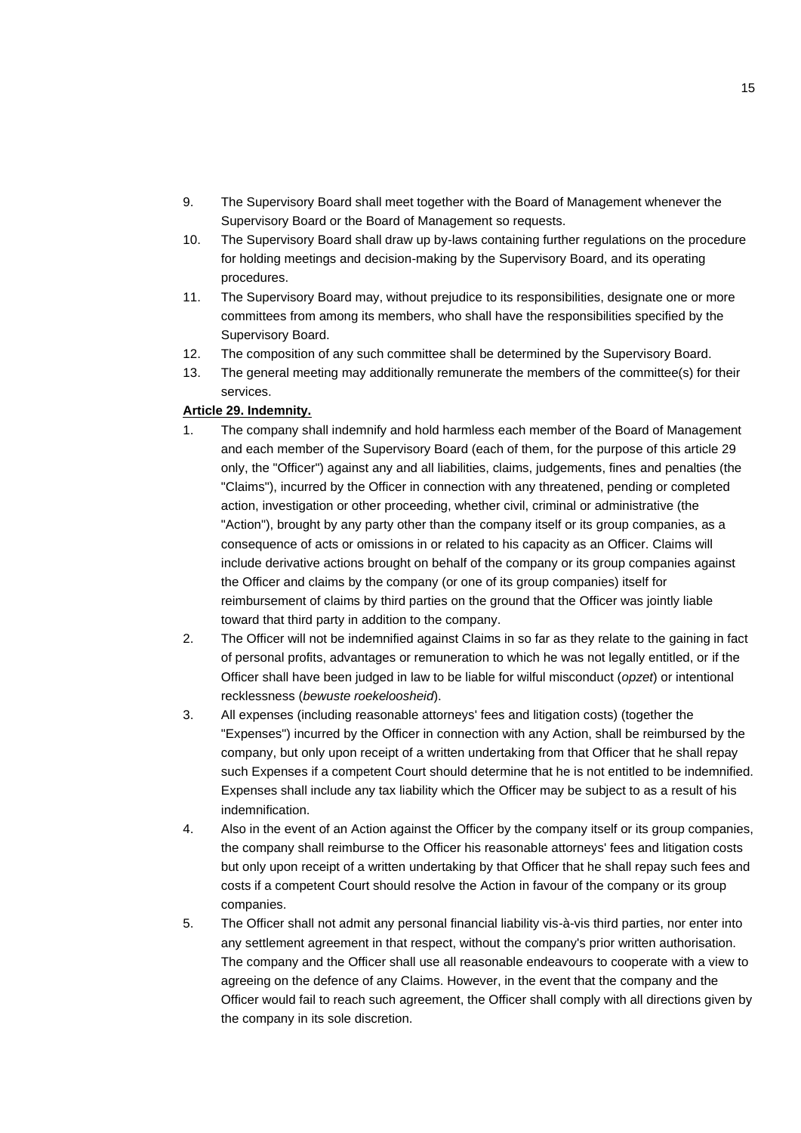- 9. The Supervisory Board shall meet together with the Board of Management whenever the Supervisory Board or the Board of Management so requests.
- 10. The Supervisory Board shall draw up by-laws containing further regulations on the procedure for holding meetings and decision-making by the Supervisory Board, and its operating procedures.
- 11. The Supervisory Board may, without prejudice to its responsibilities, designate one or more committees from among its members, who shall have the responsibilities specified by the Supervisory Board.
- 12. The composition of any such committee shall be determined by the Supervisory Board.
- 13. The general meeting may additionally remunerate the members of the committee(s) for their services.

## **Article 29. Indemnity.**

- 1. The company shall indemnify and hold harmless each member of the Board of Management and each member of the Supervisory Board (each of them, for the purpose of this article 29 only, the "Officer") against any and all liabilities, claims, judgements, fines and penalties (the "Claims"), incurred by the Officer in connection with any threatened, pending or completed action, investigation or other proceeding, whether civil, criminal or administrative (the "Action"), brought by any party other than the company itself or its group companies, as a consequence of acts or omissions in or related to his capacity as an Officer. Claims will include derivative actions brought on behalf of the company or its group companies against the Officer and claims by the company (or one of its group companies) itself for reimbursement of claims by third parties on the ground that the Officer was jointly liable toward that third party in addition to the company.
- 2. The Officer will not be indemnified against Claims in so far as they relate to the gaining in fact of personal profits, advantages or remuneration to which he was not legally entitled, or if the Officer shall have been judged in law to be liable for wilful misconduct (*opzet*) or intentional recklessness (*bewuste roekeloosheid*).
- 3. All expenses (including reasonable attorneys' fees and litigation costs) (together the "Expenses") incurred by the Officer in connection with any Action, shall be reimbursed by the company, but only upon receipt of a written undertaking from that Officer that he shall repay such Expenses if a competent Court should determine that he is not entitled to be indemnified. Expenses shall include any tax liability which the Officer may be subject to as a result of his indemnification.
- 4. Also in the event of an Action against the Officer by the company itself or its group companies, the company shall reimburse to the Officer his reasonable attorneys' fees and litigation costs but only upon receipt of a written undertaking by that Officer that he shall repay such fees and costs if a competent Court should resolve the Action in favour of the company or its group companies.
- 5. The Officer shall not admit any personal financial liability vis-à-vis third parties, nor enter into any settlement agreement in that respect, without the company's prior written authorisation. The company and the Officer shall use all reasonable endeavours to cooperate with a view to agreeing on the defence of any Claims. However, in the event that the company and the Officer would fail to reach such agreement, the Officer shall comply with all directions given by the company in its sole discretion.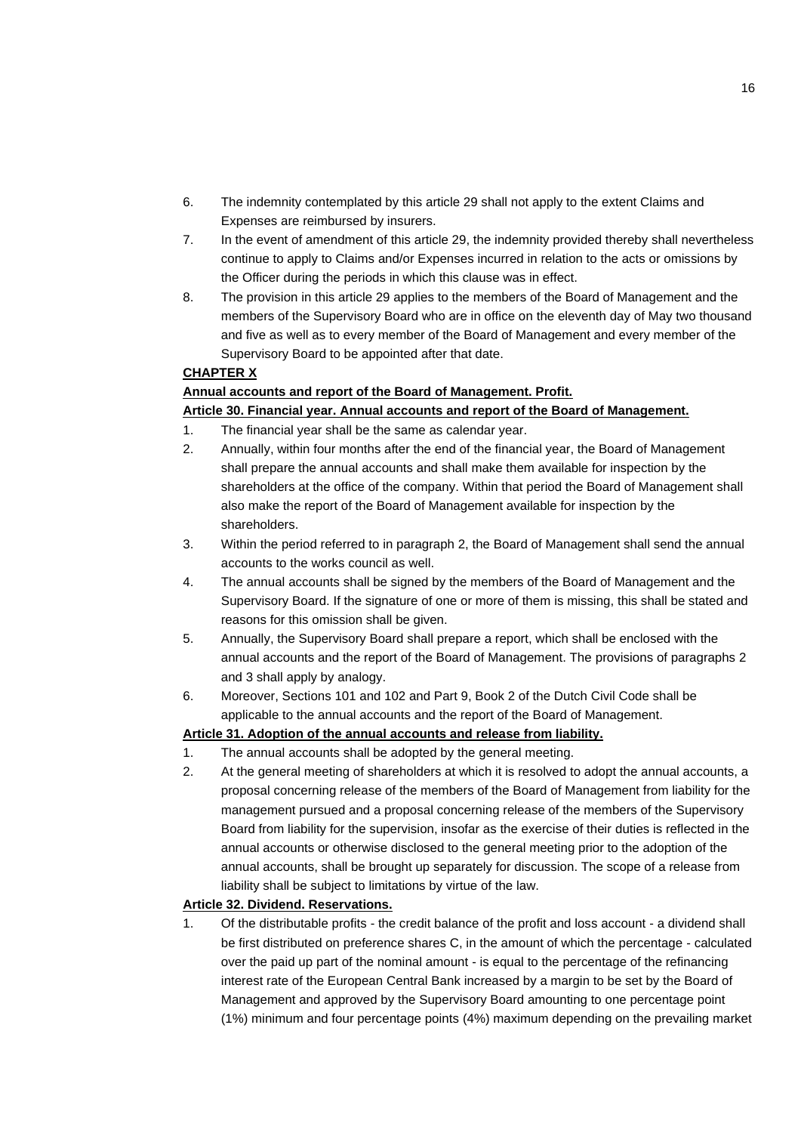- 6. The indemnity contemplated by this article 29 shall not apply to the extent Claims and Expenses are reimbursed by insurers.
- 7. In the event of amendment of this article 29, the indemnity provided thereby shall nevertheless continue to apply to Claims and/or Expenses incurred in relation to the acts or omissions by the Officer during the periods in which this clause was in effect.
- 8. The provision in this article 29 applies to the members of the Board of Management and the members of the Supervisory Board who are in office on the eleventh day of May two thousand and five as well as to every member of the Board of Management and every member of the Supervisory Board to be appointed after that date.

#### **CHAPTER X**

## **Annual accounts and report of the Board of Management. Profit.**

## **Article 30. Financial year. Annual accounts and report of the Board of Management.**

- 1. The financial year shall be the same as calendar year.
- 2. Annually, within four months after the end of the financial year, the Board of Management shall prepare the annual accounts and shall make them available for inspection by the shareholders at the office of the company. Within that period the Board of Management shall also make the report of the Board of Management available for inspection by the shareholders.
- 3. Within the period referred to in paragraph 2, the Board of Management shall send the annual accounts to the works council as well.
- 4. The annual accounts shall be signed by the members of the Board of Management and the Supervisory Board. If the signature of one or more of them is missing, this shall be stated and reasons for this omission shall be given.
- 5. Annually, the Supervisory Board shall prepare a report, which shall be enclosed with the annual accounts and the report of the Board of Management. The provisions of paragraphs 2 and 3 shall apply by analogy.
- 6. Moreover, Sections 101 and 102 and Part 9, Book 2 of the Dutch Civil Code shall be applicable to the annual accounts and the report of the Board of Management.

## **Article 31. Adoption of the annual accounts and release from liability.**

- 1. The annual accounts shall be adopted by the general meeting.
- 2. At the general meeting of shareholders at which it is resolved to adopt the annual accounts, a proposal concerning release of the members of the Board of Management from liability for the management pursued and a proposal concerning release of the members of the Supervisory Board from liability for the supervision, insofar as the exercise of their duties is reflected in the annual accounts or otherwise disclosed to the general meeting prior to the adoption of the annual accounts, shall be brought up separately for discussion. The scope of a release from liability shall be subject to limitations by virtue of the law.

## **Article 32. Dividend. Reservations.**

1. Of the distributable profits - the credit balance of the profit and loss account - a dividend shall be first distributed on preference shares C, in the amount of which the percentage - calculated over the paid up part of the nominal amount - is equal to the percentage of the refinancing interest rate of the European Central Bank increased by a margin to be set by the Board of Management and approved by the Supervisory Board amounting to one percentage point (1%) minimum and four percentage points (4%) maximum depending on the prevailing market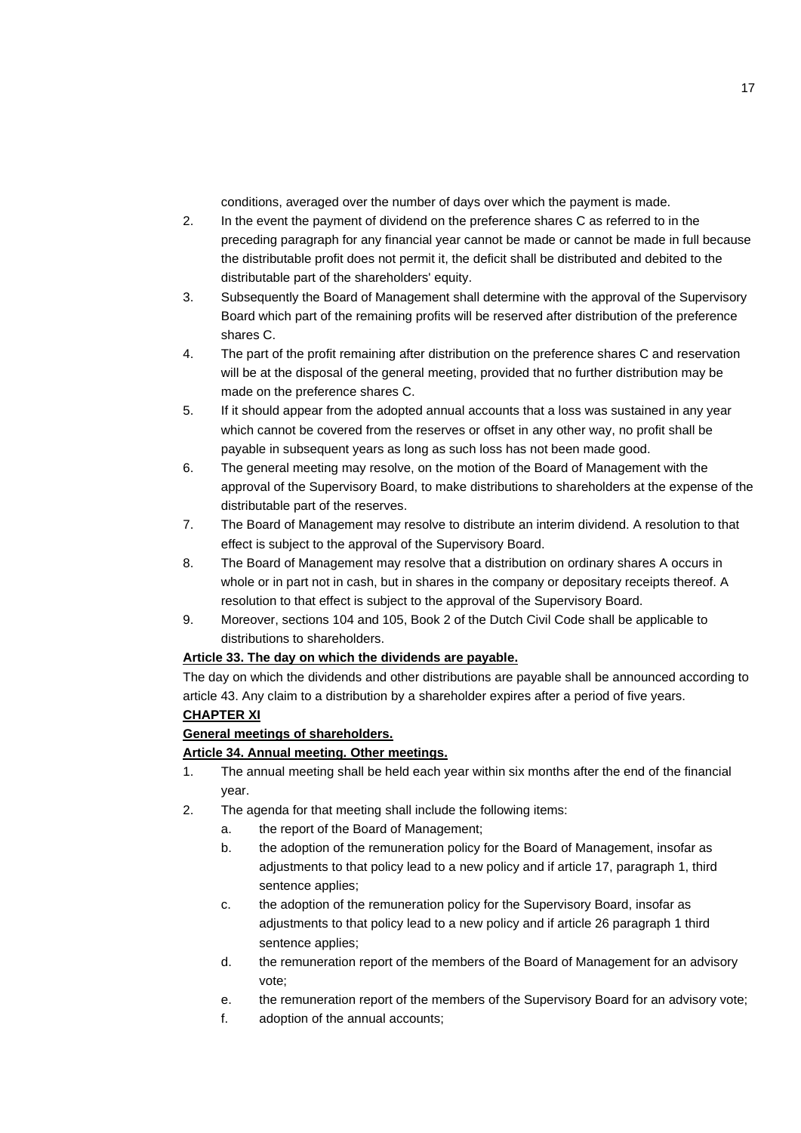conditions, averaged over the number of days over which the payment is made.

- 2. In the event the payment of dividend on the preference shares C as referred to in the preceding paragraph for any financial year cannot be made or cannot be made in full because the distributable profit does not permit it, the deficit shall be distributed and debited to the distributable part of the shareholders' equity.
- 3. Subsequently the Board of Management shall determine with the approval of the Supervisory Board which part of the remaining profits will be reserved after distribution of the preference shares C.
- 4. The part of the profit remaining after distribution on the preference shares C and reservation will be at the disposal of the general meeting, provided that no further distribution may be made on the preference shares C.
- 5. If it should appear from the adopted annual accounts that a loss was sustained in any year which cannot be covered from the reserves or offset in any other way, no profit shall be payable in subsequent years as long as such loss has not been made good.
- 6. The general meeting may resolve, on the motion of the Board of Management with the approval of the Supervisory Board, to make distributions to shareholders at the expense of the distributable part of the reserves.
- 7. The Board of Management may resolve to distribute an interim dividend. A resolution to that effect is subject to the approval of the Supervisory Board.
- 8. The Board of Management may resolve that a distribution on ordinary shares A occurs in whole or in part not in cash, but in shares in the company or depositary receipts thereof. A resolution to that effect is subject to the approval of the Supervisory Board.
- 9. Moreover, sections 104 and 105, Book 2 of the Dutch Civil Code shall be applicable to distributions to shareholders.

## **Article 33. The day on which the dividends are payable.**

The day on which the dividends and other distributions are payable shall be announced according to article 43. Any claim to a distribution by a shareholder expires after a period of five years.

## **CHAPTER XI**

## **General meetings of shareholders.**

## **Article 34. Annual meeting. Other meetings.**

- 1. The annual meeting shall be held each year within six months after the end of the financial year.
- 2. The agenda for that meeting shall include the following items:
	- a. the report of the Board of Management;
	- b. the adoption of the remuneration policy for the Board of Management, insofar as adjustments to that policy lead to a new policy and if article 17, paragraph 1, third sentence applies;
	- c. the adoption of the remuneration policy for the Supervisory Board, insofar as adjustments to that policy lead to a new policy and if article 26 paragraph 1 third sentence applies;
	- d. the remuneration report of the members of the Board of Management for an advisory vote;
	- e. the remuneration report of the members of the Supervisory Board for an advisory vote;
	- f. adoption of the annual accounts;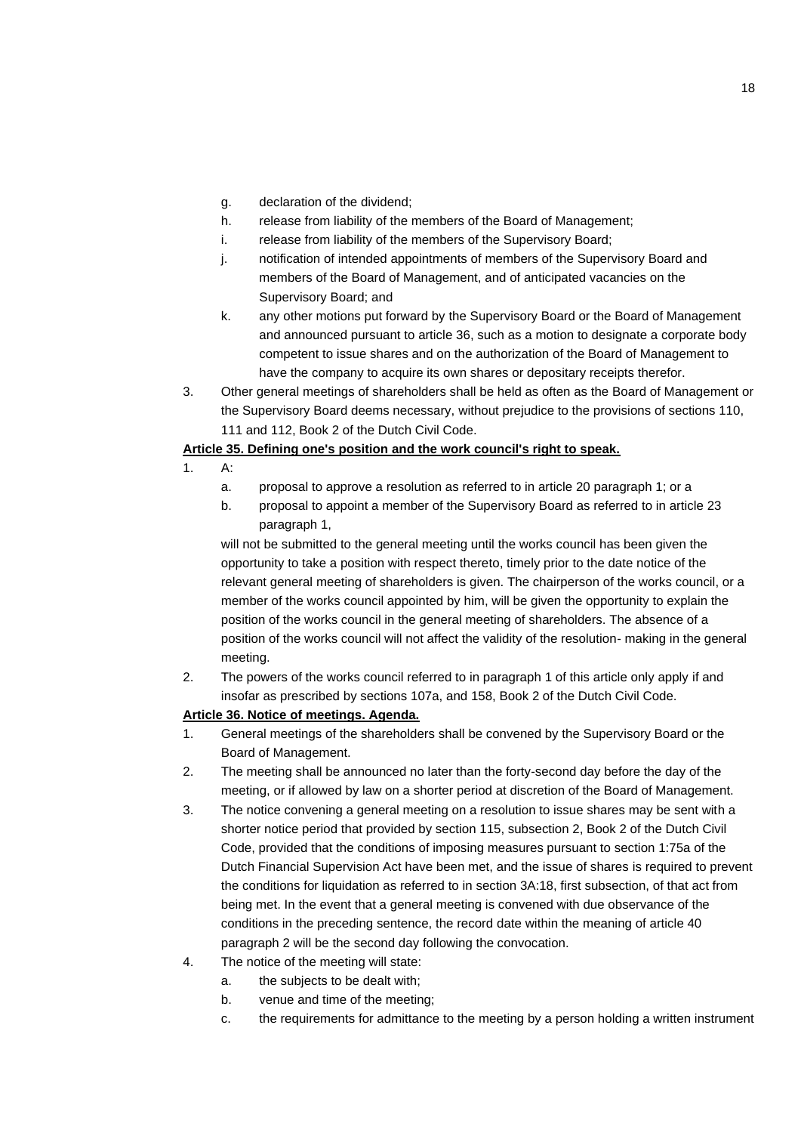- g. declaration of the dividend;
- h. release from liability of the members of the Board of Management;
- i. release from liability of the members of the Supervisory Board;
- j. notification of intended appointments of members of the Supervisory Board and members of the Board of Management, and of anticipated vacancies on the Supervisory Board; and
- k. any other motions put forward by the Supervisory Board or the Board of Management and announced pursuant to article 36, such as a motion to designate a corporate body competent to issue shares and on the authorization of the Board of Management to have the company to acquire its own shares or depositary receipts therefor.
- 3. Other general meetings of shareholders shall be held as often as the Board of Management or the Supervisory Board deems necessary, without prejudice to the provisions of sections 110, 111 and 112, Book 2 of the Dutch Civil Code.

#### **Article 35. Defining one's position and the work council's right to speak.**

- 1. A:
	- a. proposal to approve a resolution as referred to in article 20 paragraph 1; or a
	- b. proposal to appoint a member of the Supervisory Board as referred to in article 23 paragraph 1,

will not be submitted to the general meeting until the works council has been given the opportunity to take a position with respect thereto, timely prior to the date notice of the relevant general meeting of shareholders is given. The chairperson of the works council, or a member of the works council appointed by him, will be given the opportunity to explain the position of the works council in the general meeting of shareholders. The absence of a position of the works council will not affect the validity of the resolution- making in the general meeting.

2. The powers of the works council referred to in paragraph 1 of this article only apply if and insofar as prescribed by sections 107a, and 158, Book 2 of the Dutch Civil Code.

## **Article 36. Notice of meetings. Agenda.**

- 1. General meetings of the shareholders shall be convened by the Supervisory Board or the Board of Management.
- 2. The meeting shall be announced no later than the forty-second day before the day of the meeting, or if allowed by law on a shorter period at discretion of the Board of Management.
- 3. The notice convening a general meeting on a resolution to issue shares may be sent with a shorter notice period that provided by section 115, subsection 2, Book 2 of the Dutch Civil Code, provided that the conditions of imposing measures pursuant to section 1:75a of the Dutch Financial Supervision Act have been met, and the issue of shares is required to prevent the conditions for liquidation as referred to in section 3A:18, first subsection, of that act from being met. In the event that a general meeting is convened with due observance of the conditions in the preceding sentence, the record date within the meaning of article 40 paragraph 2 will be the second day following the convocation.
- 4. The notice of the meeting will state:
	- a. the subjects to be dealt with;
	- b. venue and time of the meeting;
	- c. the requirements for admittance to the meeting by a person holding a written instrument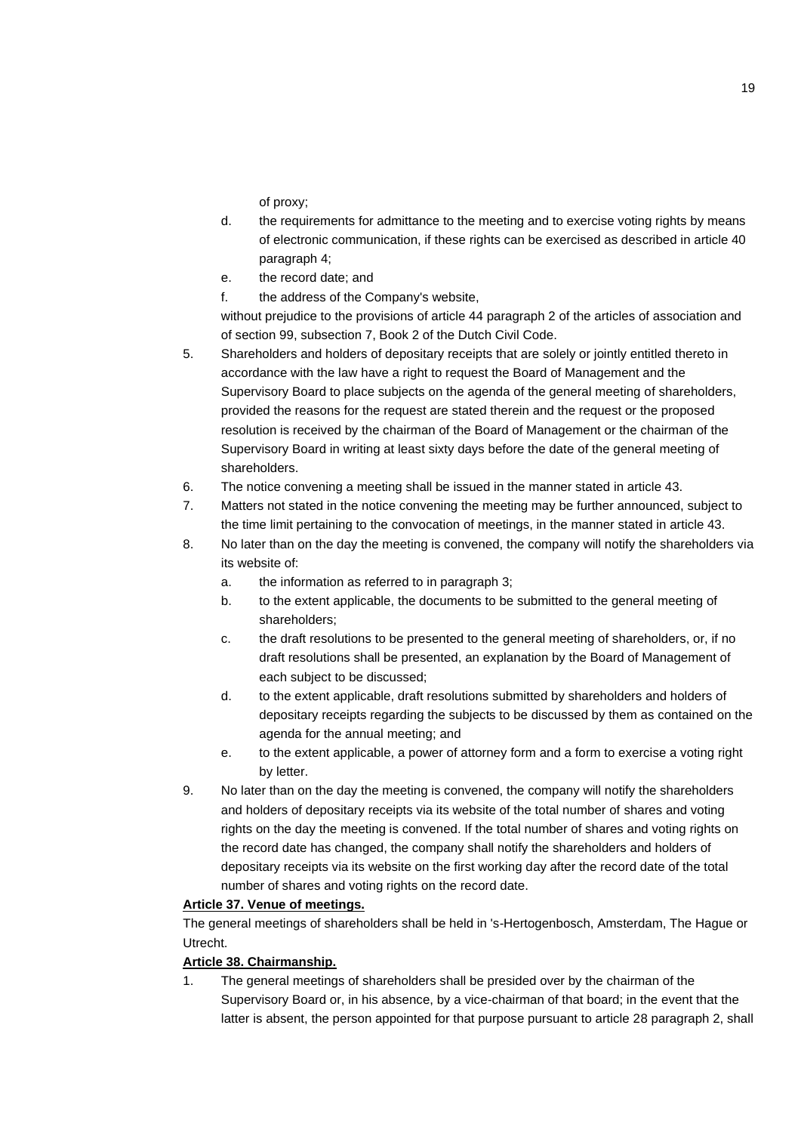of proxy;

- d. the requirements for admittance to the meeting and to exercise voting rights by means of electronic communication, if these rights can be exercised as described in article 40 paragraph 4;
- e. the record date; and
- f. the address of the Company's website,

without prejudice to the provisions of article 44 paragraph 2 of the articles of association and of section 99, subsection 7, Book 2 of the Dutch Civil Code.

- 5. Shareholders and holders of depositary receipts that are solely or jointly entitled thereto in accordance with the law have a right to request the Board of Management and the Supervisory Board to place subjects on the agenda of the general meeting of shareholders, provided the reasons for the request are stated therein and the request or the proposed resolution is received by the chairman of the Board of Management or the chairman of the Supervisory Board in writing at least sixty days before the date of the general meeting of shareholders.
- 6. The notice convening a meeting shall be issued in the manner stated in article 43.
- 7. Matters not stated in the notice convening the meeting may be further announced, subject to the time limit pertaining to the convocation of meetings, in the manner stated in article 43.
- 8. No later than on the day the meeting is convened, the company will notify the shareholders via its website of:
	- a. the information as referred to in paragraph 3;
	- b. to the extent applicable, the documents to be submitted to the general meeting of shareholders;
	- c. the draft resolutions to be presented to the general meeting of shareholders, or, if no draft resolutions shall be presented, an explanation by the Board of Management of each subject to be discussed;
	- d. to the extent applicable, draft resolutions submitted by shareholders and holders of depositary receipts regarding the subjects to be discussed by them as contained on the agenda for the annual meeting; and
	- e. to the extent applicable, a power of attorney form and a form to exercise a voting right by letter.
- 9. No later than on the day the meeting is convened, the company will notify the shareholders and holders of depositary receipts via its website of the total number of shares and voting rights on the day the meeting is convened. If the total number of shares and voting rights on the record date has changed, the company shall notify the shareholders and holders of depositary receipts via its website on the first working day after the record date of the total number of shares and voting rights on the record date.

## **Article 37. Venue of meetings.**

The general meetings of shareholders shall be held in 's-Hertogenbosch, Amsterdam, The Hague or Utrecht.

## **Article 38. Chairmanship.**

1. The general meetings of shareholders shall be presided over by the chairman of the Supervisory Board or, in his absence, by a vice-chairman of that board; in the event that the latter is absent, the person appointed for that purpose pursuant to article 28 paragraph 2, shall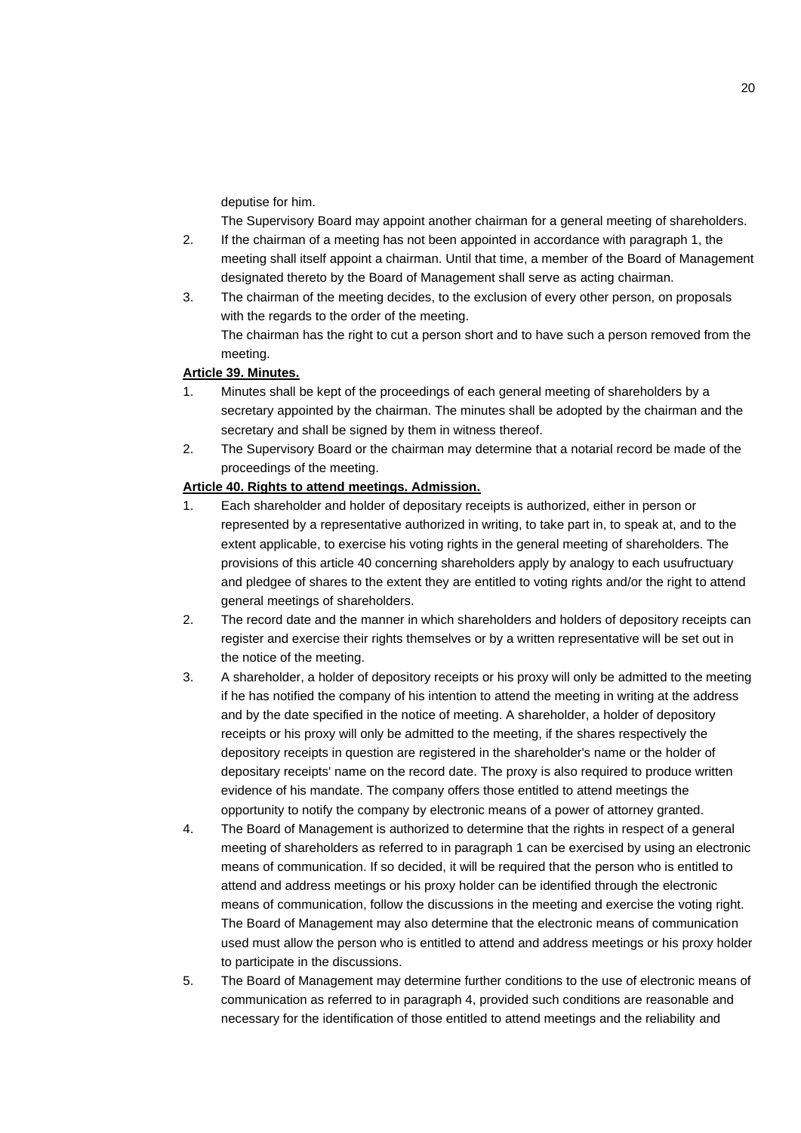deputise for him.

The Supervisory Board may appoint another chairman for a general meeting of shareholders.

- 2. If the chairman of a meeting has not been appointed in accordance with paragraph 1, the meeting shall itself appoint a chairman. Until that time, a member of the Board of Management designated thereto by the Board of Management shall serve as acting chairman.
- 3. The chairman of the meeting decides, to the exclusion of every other person, on proposals with the regards to the order of the meeting. The chairman has the right to cut a person short and to have such a person removed from the meeting.

## **Article 39. Minutes.**

- 1. Minutes shall be kept of the proceedings of each general meeting of shareholders by a secretary appointed by the chairman. The minutes shall be adopted by the chairman and the secretary and shall be signed by them in witness thereof.
- 2. The Supervisory Board or the chairman may determine that a notarial record be made of the proceedings of the meeting.

## **Article 40. Rights to attend meetings. Admission.**

- 1. Each shareholder and holder of depositary receipts is authorized, either in person or represented by a representative authorized in writing, to take part in, to speak at, and to the extent applicable, to exercise his voting rights in the general meeting of shareholders. The provisions of this article 40 concerning shareholders apply by analogy to each usufructuary and pledgee of shares to the extent they are entitled to voting rights and/or the right to attend general meetings of shareholders.
- 2. The record date and the manner in which shareholders and holders of depository receipts can register and exercise their rights themselves or by a written representative will be set out in the notice of the meeting.
- 3. A shareholder, a holder of depository receipts or his proxy will only be admitted to the meeting if he has notified the company of his intention to attend the meeting in writing at the address and by the date specified in the notice of meeting. A shareholder, a holder of depository receipts or his proxy will only be admitted to the meeting, if the shares respectively the depository receipts in question are registered in the shareholder's name or the holder of depositary receipts' name on the record date. The proxy is also required to produce written evidence of his mandate. The company offers those entitled to attend meetings the opportunity to notify the company by electronic means of a power of attorney granted.
- 4. The Board of Management is authorized to determine that the rights in respect of a general meeting of shareholders as referred to in paragraph 1 can be exercised by using an electronic means of communication. If so decided, it will be required that the person who is entitled to attend and address meetings or his proxy holder can be identified through the electronic means of communication, follow the discussions in the meeting and exercise the voting right. The Board of Management may also determine that the electronic means of communication used must allow the person who is entitled to attend and address meetings or his proxy holder to participate in the discussions.
- 5. The Board of Management may determine further conditions to the use of electronic means of communication as referred to in paragraph 4, provided such conditions are reasonable and necessary for the identification of those entitled to attend meetings and the reliability and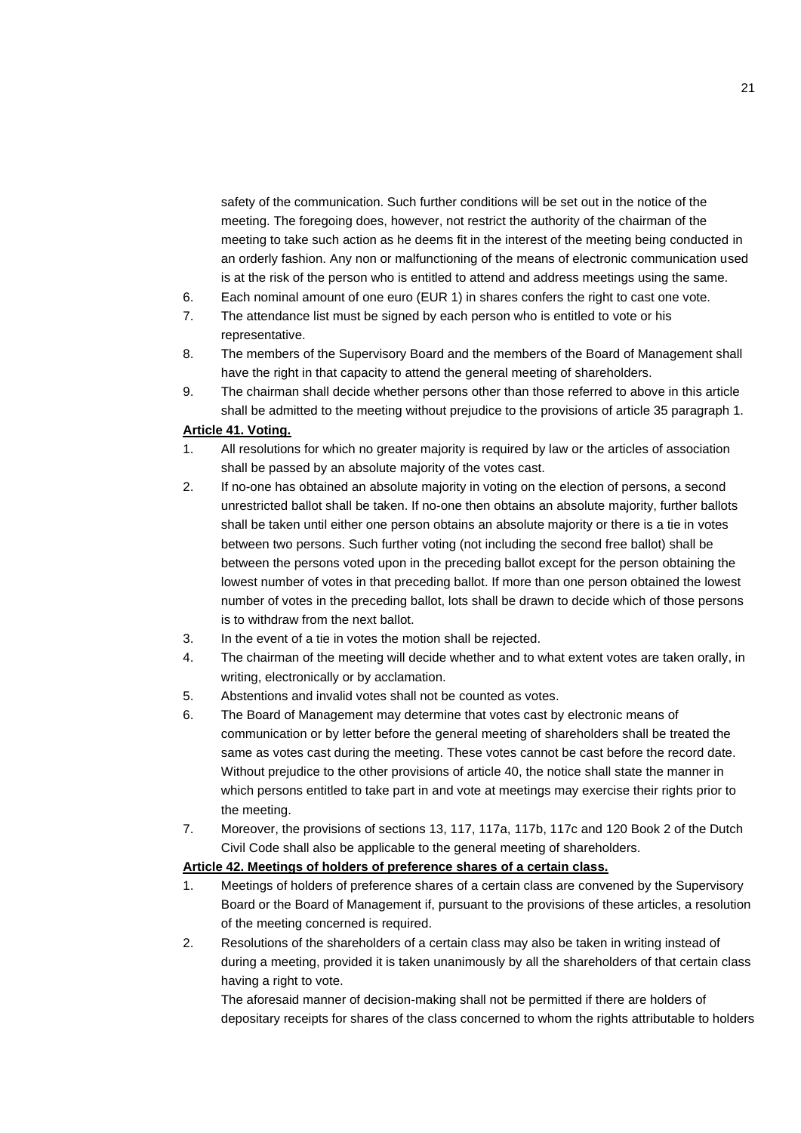safety of the communication. Such further conditions will be set out in the notice of the meeting. The foregoing does, however, not restrict the authority of the chairman of the meeting to take such action as he deems fit in the interest of the meeting being conducted in an orderly fashion. Any non or malfunctioning of the means of electronic communication used is at the risk of the person who is entitled to attend and address meetings using the same.

- 6. Each nominal amount of one euro (EUR 1) in shares confers the right to cast one vote.
- 7. The attendance list must be signed by each person who is entitled to vote or his representative.
- 8. The members of the Supervisory Board and the members of the Board of Management shall have the right in that capacity to attend the general meeting of shareholders.
- 9. The chairman shall decide whether persons other than those referred to above in this article shall be admitted to the meeting without prejudice to the provisions of article 35 paragraph 1.

#### **Article 41. Voting.**

- 1. All resolutions for which no greater majority is required by law or the articles of association shall be passed by an absolute majority of the votes cast.
- 2. If no-one has obtained an absolute majority in voting on the election of persons, a second unrestricted ballot shall be taken. If no-one then obtains an absolute majority, further ballots shall be taken until either one person obtains an absolute majority or there is a tie in votes between two persons. Such further voting (not including the second free ballot) shall be between the persons voted upon in the preceding ballot except for the person obtaining the lowest number of votes in that preceding ballot. If more than one person obtained the lowest number of votes in the preceding ballot, lots shall be drawn to decide which of those persons is to withdraw from the next ballot.
- 3. In the event of a tie in votes the motion shall be rejected.
- 4. The chairman of the meeting will decide whether and to what extent votes are taken orally, in writing, electronically or by acclamation.
- 5. Abstentions and invalid votes shall not be counted as votes.
- 6. The Board of Management may determine that votes cast by electronic means of communication or by letter before the general meeting of shareholders shall be treated the same as votes cast during the meeting. These votes cannot be cast before the record date. Without prejudice to the other provisions of article 40, the notice shall state the manner in which persons entitled to take part in and vote at meetings may exercise their rights prior to the meeting.
- 7. Moreover, the provisions of sections 13, 117, 117a, 117b, 117c and 120 Book 2 of the Dutch Civil Code shall also be applicable to the general meeting of shareholders.

## **Article 42. Meetings of holders of preference shares of a certain class.**

- 1. Meetings of holders of preference shares of a certain class are convened by the Supervisory Board or the Board of Management if, pursuant to the provisions of these articles, a resolution of the meeting concerned is required.
- 2. Resolutions of the shareholders of a certain class may also be taken in writing instead of during a meeting, provided it is taken unanimously by all the shareholders of that certain class having a right to vote.

The aforesaid manner of decision-making shall not be permitted if there are holders of depositary receipts for shares of the class concerned to whom the rights attributable to holders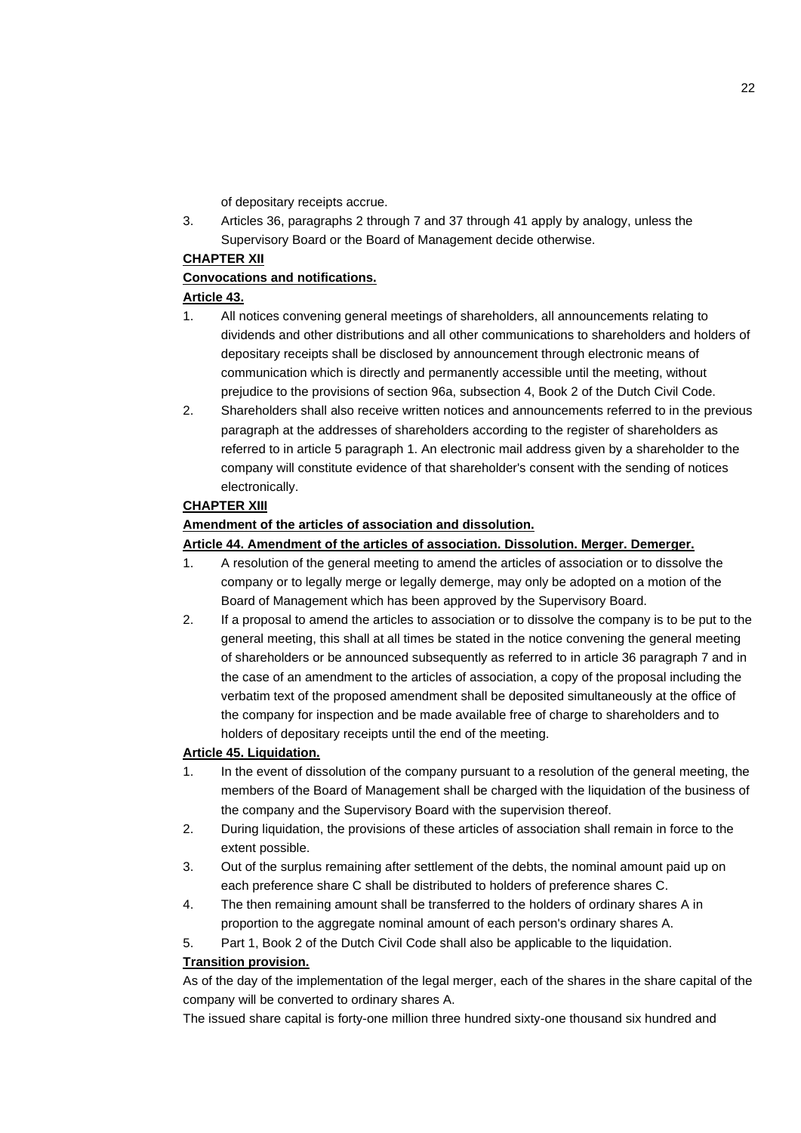of depositary receipts accrue.

3. Articles 36, paragraphs 2 through 7 and 37 through 41 apply by analogy, unless the Supervisory Board or the Board of Management decide otherwise.

## **CHAPTER XII**

## **Convocations and notifications.**

## **Article 43.**

- 1. All notices convening general meetings of shareholders, all announcements relating to dividends and other distributions and all other communications to shareholders and holders of depositary receipts shall be disclosed by announcement through electronic means of communication which is directly and permanently accessible until the meeting, without prejudice to the provisions of section 96a, subsection 4, Book 2 of the Dutch Civil Code.
- 2. Shareholders shall also receive written notices and announcements referred to in the previous paragraph at the addresses of shareholders according to the register of shareholders as referred to in article 5 paragraph 1. An electronic mail address given by a shareholder to the company will constitute evidence of that shareholder's consent with the sending of notices electronically.

## **CHAPTER XIII**

## **Amendment of the articles of association and dissolution.**

## **Article 44. Amendment of the articles of association. Dissolution. Merger. Demerger.**

- 1. A resolution of the general meeting to amend the articles of association or to dissolve the company or to legally merge or legally demerge, may only be adopted on a motion of the Board of Management which has been approved by the Supervisory Board.
- 2. If a proposal to amend the articles to association or to dissolve the company is to be put to the general meeting, this shall at all times be stated in the notice convening the general meeting of shareholders or be announced subsequently as referred to in article 36 paragraph 7 and in the case of an amendment to the articles of association, a copy of the proposal including the verbatim text of the proposed amendment shall be deposited simultaneously at the office of the company for inspection and be made available free of charge to shareholders and to holders of depositary receipts until the end of the meeting.

## **Article 45. Liquidation.**

- 1. In the event of dissolution of the company pursuant to a resolution of the general meeting, the members of the Board of Management shall be charged with the liquidation of the business of the company and the Supervisory Board with the supervision thereof.
- 2. During liquidation, the provisions of these articles of association shall remain in force to the extent possible.
- 3. Out of the surplus remaining after settlement of the debts, the nominal amount paid up on each preference share C shall be distributed to holders of preference shares C.
- 4. The then remaining amount shall be transferred to the holders of ordinary shares A in proportion to the aggregate nominal amount of each person's ordinary shares A.
- 5. Part 1, Book 2 of the Dutch Civil Code shall also be applicable to the liquidation.

## **Transition provision.**

As of the day of the implementation of the legal merger, each of the shares in the share capital of the company will be converted to ordinary shares A.

The issued share capital is forty-one million three hundred sixty-one thousand six hundred and